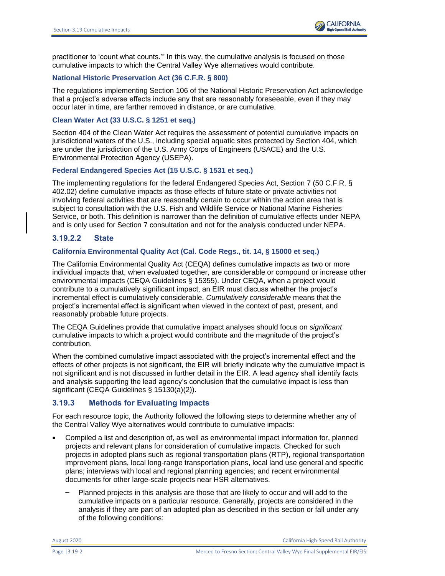practitioner to 'count what counts.'" In this way, the cumulative analysis is focused on those cumulative impacts to which the Central Valley Wye alternatives would contribute.

## **National Historic Preservation Act (36 C.F.R. § 800)**

The regulations implementing Section 106 of the National Historic Preservation Act acknowledge that a project's adverse effects include any that are reasonably foreseeable, even if they may occur later in time, are farther removed in distance, or are cumulative.

## **Clean Water Act (33 U.S.C. § 1251 et seq.)**

Section 404 of the Clean Water Act requires the assessment of potential cumulative impacts on jurisdictional waters of the U.S., including special aquatic sites protected by Section 404, which are under the jurisdiction of the U.S. Army Corps of Engineers (USACE) and the U.S. Environmental Protection Agency (USEPA).

## **Federal Endangered Species Act (15 U.S.C. § 1531 et seq.)**

The implementing regulations for the federal Endangered Species Act, Section 7 (50 C.F.R. § 402.02) define cumulative impacts as those effects of future state or private activities not involving federal activities that are reasonably certain to occur within the action area that is subject to consultation with the U.S. Fish and Wildlife Service or National Marine Fisheries Service, or both. This definition is narrower than the definition of cumulative effects under NEPA and is only used for Section 7 consultation and not for the analysis conducted under NEPA.

# **3.19.2.2 State**

## **California Environmental Quality Act (Cal. Code Regs., tit. 14, § 15000 et seq.)**

The California Environmental Quality Act (CEQA) defines cumulative impacts as two or more individual impacts that, when evaluated together, are considerable or compound or increase other environmental impacts (CEQA Guidelines § 15355). Under CEQA, when a project would contribute to a cumulatively significant impact, an EIR must discuss whether the project's incremental effect is cumulatively considerable. *Cumulatively considerable* means that the project's incremental effect is significant when viewed in the context of past, present, and reasonably probable future projects.

The CEQA Guidelines provide that cumulative impact analyses should focus on *significant* cumulative impacts to which a project would contribute and the magnitude of the project's contribution.

When the combined cumulative impact associated with the project's incremental effect and the effects of other projects is not significant, the EIR will briefly indicate why the cumulative impact is not significant and is not discussed in further detail in the EIR. A lead agency shall identify facts and analysis supporting the lead agency's conclusion that the cumulative impact is less than significant (CEQA Guidelines § 15130(a)(2)).

# **3.19.3 Methods for Evaluating Impacts**

For each resource topic, the Authority followed the following steps to determine whether any of the Central Valley Wye alternatives would contribute to cumulative impacts:

- Compiled a list and description of, as well as environmental impact information for, planned projects and relevant plans for consideration of cumulative impacts. Checked for such projects in adopted plans such as regional transportation plans (RTP), regional transportation improvement plans, local long-range transportation plans, local land use general and specific plans; interviews with local and regional planning agencies; and recent environmental documents for other large-scale projects near HSR alternatives.
	- Planned projects in this analysis are those that are likely to occur and will add to the cumulative impacts on a particular resource. Generally, projects are considered in the analysis if they are part of an adopted plan as described in this section or fall under any of the following conditions:

August 2020 California High-Speed Rail Authority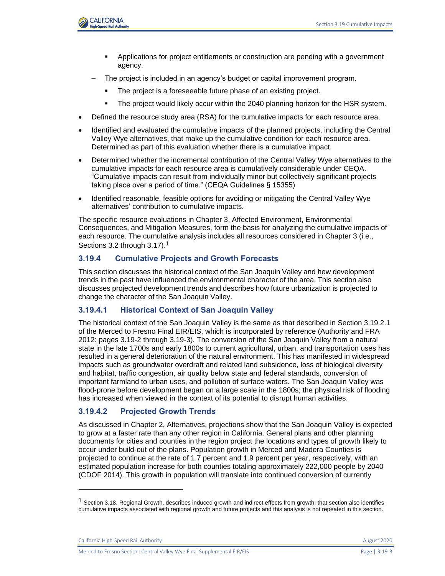

- Applications for project entitlements or construction are pending with a government agency.
- The project is included in an agency's budget or capital improvement program.
	- The project is a foreseeable future phase of an existing project.
	- The project would likely occur within the 2040 planning horizon for the HSR system.
- Defined the resource study area (RSA) for the cumulative impacts for each resource area.
- Identified and evaluated the cumulative impacts of the planned projects, including the Central Valley Wye alternatives, that make up the cumulative condition for each resource area. Determined as part of this evaluation whether there is a cumulative impact.
- Determined whether the incremental contribution of the Central Valley Wye alternatives to the cumulative impacts for each resource area is cumulatively considerable under CEQA. "Cumulative impacts can result from individually minor but collectively significant projects taking place over a period of time." (CEQA Guidelines § 15355)
- Identified reasonable, feasible options for avoiding or mitigating the Central Valley Wye alternatives' contribution to cumulative impacts.

The specific resource evaluations in Chapter 3, Affected Environment, Environmental Consequences, and Mitigation Measures, form the basis for analyzing the cumulative impacts of each resource. The cumulative analysis includes all resources considered in Chapter 3 (i.e., Sections 3.2 through 3.17).<sup>1</sup>

## **3.19.4 Cumulative Projects and Growth Forecasts**

This section discusses the historical context of the San Joaquin Valley and how development trends in the past have influenced the environmental character of the area. This section also discusses projected development trends and describes how future urbanization is projected to change the character of the San Joaquin Valley.

## **3.19.4.1 Historical Context of San Joaquin Valley**

The historical context of the San Joaquin Valley is the same as that described in Section 3.19.2.1 of the Merced to Fresno Final EIR/EIS, which is incorporated by reference (Authority and FRA 2012: pages 3.19-2 through 3.19-3). The conversion of the San Joaquin Valley from a natural state in the late 1700s and early 1800s to current agricultural, urban, and transportation uses has resulted in a general deterioration of the natural environment. This has manifested in widespread impacts such as groundwater overdraft and related land subsidence, loss of biological diversity and habitat, traffic congestion, air quality below state and federal standards, conversion of important farmland to urban uses, and pollution of surface waters. The San Joaquin Valley was flood-prone before development began on a large scale in the 1800s; the physical risk of flooding has increased when viewed in the context of its potential to disrupt human activities.

## **3.19.4.2 Projected Growth Trends**

As discussed in Chapter 2, Alternatives, projections show that the San Joaquin Valley is expected to grow at a faster rate than any other region in California. General plans and other planning documents for cities and counties in the region project the locations and types of growth likely to occur under build-out of the plans. Population growth in Merced and Madera Counties is projected to continue at the rate of 1.7 percent and 1.9 percent per year, respectively, with an estimated population increase for both counties totaling approximately 222,000 people by 2040 (CDOF 2014). This growth in population will translate into continued conversion of currently

<sup>&</sup>lt;sup>1</sup> Section 3.18, Regional Growth, describes induced growth and indirect effects from growth; that section also identifies cumulative impacts associated with regional growth and future projects and this analysis is not repeated in this section.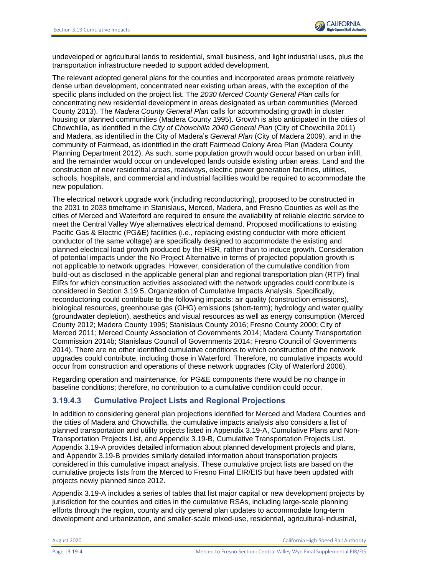

undeveloped or agricultural lands to residential, small business, and light industrial uses, plus the transportation infrastructure needed to support added development.

The relevant adopted general plans for the counties and incorporated areas promote relatively dense urban development, concentrated near existing urban areas, with the exception of the specific plans included on the project list. The *2030 Merced County General Plan* calls for concentrating new residential development in areas designated as urban communities (Merced County 2013). The *Madera County General Plan* calls for accommodating growth in cluster housing or planned communities (Madera County 1995). Growth is also anticipated in the cities of Chowchilla, as identified in the *City of Chowchilla 2040 General Plan* (City of Chowchilla 2011) and Madera, as identified in the City of Madera's *General Plan* (City of Madera 2009), and in the community of Fairmead, as identified in the draft Fairmead Colony Area Plan (Madera County Planning Department 2012). As such, some population growth would occur based on urban infill, and the remainder would occur on undeveloped lands outside existing urban areas. Land and the construction of new residential areas, roadways, electric power generation facilities, utilities, schools, hospitals, and commercial and industrial facilities would be required to accommodate the new population.

The electrical network upgrade work (including reconductoring), proposed to be constructed in the 2031 to 2033 timeframe in Stanislaus, Merced, Madera, and Fresno Counties as well as the cities of Merced and Waterford are required to ensure the availability of reliable electric service to meet the Central Valley Wye alternatives electrical demand. Proposed modifications to existing Pacific Gas & Electric (PG&E) facilities (i.e., replacing existing conductor with more efficient conductor of the same voltage) are specifically designed to accommodate the existing and planned electrical load growth produced by the HSR, rather than to induce growth. Consideration of potential impacts under the No Project Alternative in terms of projected population growth is not applicable to network upgrades. However, consideration of the cumulative condition from build-out as disclosed in the applicable general plan and regional transportation plan (RTP) final EIRs for which construction activities associated with the network upgrades could contribute is considered in Section 3.19.5, Organization of Cumulative Impacts Analysis. Specifically, reconductoring could contribute to the following impacts: air quality (construction emissions), biological resources, greenhouse gas (GHG) emissions (short-term); hydrology and water quality (groundwater depletion), aesthetics and visual resources as well as energy consumption (Merced County 2012; Madera County 1995; Stanislaus County 2016; Fresno County 2000; City of Merced 2011; Merced County Association of Governments 2014; Madera County Transportation Commission 2014b; Stanislaus Council of Governments 2014; Fresno Council of Governments 2014). There are no other identified cumulative conditions to which construction of the network upgrades could contribute, including those in Waterford. Therefore, no cumulative impacts would occur from construction and operations of these network upgrades (City of Waterford 2006).

Regarding operation and maintenance, for PG&E components there would be no change in baseline conditions; therefore, no contribution to a cumulative condition could occur.

## **3.19.4.3 Cumulative Project Lists and Regional Projections**

In addition to considering general plan projections identified for Merced and Madera Counties and the cities of Madera and Chowchilla, the cumulative impacts analysis also considers a list of planned transportation and utility projects listed in Appendix 3.19-A, Cumulative Plans and Non-Transportation Projects List, and Appendix 3.19-B, Cumulative Transportation Projects List. Appendix 3.19-A provides detailed information about planned development projects and plans, and Appendix 3.19-B provides similarly detailed information about transportation projects considered in this cumulative impact analysis. These cumulative project lists are based on the cumulative projects lists from the Merced to Fresno Final EIR/EIS but have been updated with projects newly planned since 2012.

Appendix 3.19-A includes a series of tables that list major capital or new development projects by jurisdiction for the counties and cities in the cumulative RSAs, including large-scale planning efforts through the region, county and city general plan updates to accommodate long-term development and urbanization, and smaller-scale mixed-use, residential, agricultural-industrial,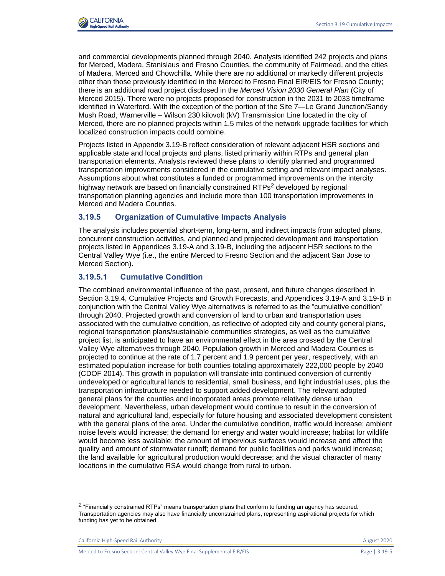

and commercial developments planned through 2040. Analysts identified 242 projects and plans for Merced, Madera, Stanislaus and Fresno Counties, the community of Fairmead, and the cities of Madera, Merced and Chowchilla. While there are no additional or markedly different projects other than those previously identified in the Merced to Fresno Final EIR/EIS for Fresno County; there is an additional road project disclosed in the *Merced Vision 2030 General Plan* (City of Merced 2015). There were no projects proposed for construction in the 2031 to 2033 timeframe identified in Waterford. With the exception of the portion of the Site 7—Le Grand Junction/Sandy Mush Road, Warnerville – Wilson 230 kilovolt (kV) Transmission Line located in the city of Merced, there are no planned projects within 1.5 miles of the network upgrade facilities for which localized construction impacts could combine.

Projects listed in Appendix 3.19-B reflect consideration of relevant adjacent HSR sections and applicable state and local projects and plans, listed primarily within RTPs and general plan transportation elements. Analysts reviewed these plans to identify planned and programmed transportation improvements considered in the cumulative setting and relevant impact analyses. Assumptions about what constitutes a funded or programmed improvements on the intercity highway network are based on financially constrained RTPs<sup>2</sup> developed by regional transportation planning agencies and include more than 100 transportation improvements in Merced and Madera Counties.

## **3.19.5 Organization of Cumulative Impacts Analysis**

The analysis includes potential short-term, long-term, and indirect impacts from adopted plans, concurrent construction activities, and planned and projected development and transportation projects listed in Appendices 3.19-A and 3.19-B, including the adjacent HSR sections to the Central Valley Wye (i.e., the entire Merced to Fresno Section and the adjacent San Jose to Merced Section).

## **3.19.5.1 Cumulative Condition**

The combined environmental influence of the past, present, and future changes described in Section 3.19.4, Cumulative Projects and Growth Forecasts, and Appendices 3.19-A and 3.19-B in conjunction with the Central Valley Wye alternatives is referred to as the "cumulative condition" through 2040. Projected growth and conversion of land to urban and transportation uses associated with the cumulative condition, as reflective of adopted city and county general plans, regional transportation plans/sustainable communities strategies, as well as the cumulative project list, is anticipated to have an environmental effect in the area crossed by the Central Valley Wye alternatives through 2040. Population growth in Merced and Madera Counties is projected to continue at the rate of 1.7 percent and 1.9 percent per year, respectively, with an estimated population increase for both counties totaling approximately 222,000 people by 2040 (CDOF 2014). This growth in population will translate into continued conversion of currently undeveloped or agricultural lands to residential, small business, and light industrial uses, plus the transportation infrastructure needed to support added development. The relevant adopted general plans for the counties and incorporated areas promote relatively dense urban development. Nevertheless, urban development would continue to result in the conversion of natural and agricultural land, especially for future housing and associated development consistent with the general plans of the area. Under the cumulative condition, traffic would increase; ambient noise levels would increase; the demand for energy and water would increase; habitat for wildlife would become less available; the amount of impervious surfaces would increase and affect the quality and amount of stormwater runoff; demand for public facilities and parks would increase; the land available for agricultural production would decrease; and the visual character of many locations in the cumulative RSA would change from rural to urban.

<sup>&</sup>lt;sup>2</sup> "Financially constrained RTPs" means transportation plans that conform to funding an agency has secured. Transportation agencies may also have financially unconstrained plans, representing aspirational projects for which funding has yet to be obtained.

California High-Speed Rail Authority **August 2020 August 2020**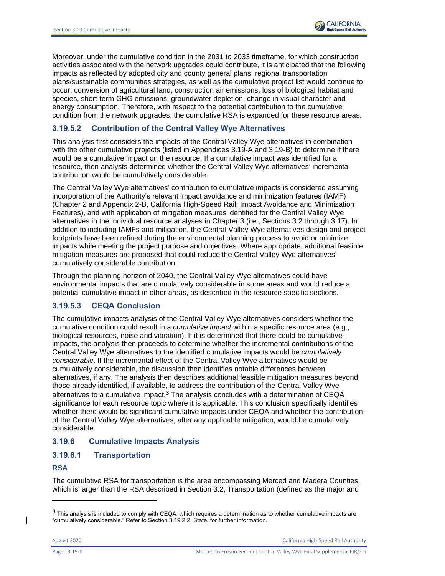Moreover, under the cumulative condition in the 2031 to 2033 timeframe, for which construction activities associated with the network upgrades could contribute, it is anticipated that the following impacts as reflected by adopted city and county general plans, regional transportation plans/sustainable communities strategies, as well as the cumulative project list would continue to occur: conversion of agricultural land, construction air emissions, loss of biological habitat and species, short-term GHG emissions, groundwater depletion, change in visual character and energy consumption. Therefore, with respect to the potential contribution to the cumulative condition from the network upgrades, the cumulative RSA is expanded for these resource areas.

# **3.19.5.2 Contribution of the Central Valley Wye Alternatives**

This analysis first considers the impacts of the Central Valley Wye alternatives in combination with the other cumulative projects (listed in Appendices 3.19-A and 3.19-B) to determine if there would be a cumulative impact on the resource. If a cumulative impact was identified for a resource, then analysts determined whether the Central Valley Wye alternatives' incremental contribution would be cumulatively considerable.

The Central Valley Wye alternatives' contribution to cumulative impacts is considered assuming incorporation of the Authority's relevant impact avoidance and minimization features (IAMF) (Chapter 2 and Appendix 2-B, California High-Speed Rail: Impact Avoidance and Minimization Features), and with application of mitigation measures identified for the Central Valley Wye alternatives in the individual resource analyses in Chapter 3 (i.e., Sections 3.2 through 3.17). In addition to including IAMFs and mitigation, the Central Valley Wye alternatives design and project footprints have been refined during the environmental planning process to avoid or minimize impacts while meeting the project purpose and objectives. Where appropriate, additional feasible mitigation measures are proposed that could reduce the Central Valley Wye alternatives' cumulatively considerable contribution.

Through the planning horizon of 2040, the Central Valley Wye alternatives could have environmental impacts that are cumulatively considerable in some areas and would reduce a potential cumulative impact in other areas, as described in the resource specific sections.

## **3.19.5.3 CEQA Conclusion**

The cumulative impacts analysis of the Central Valley Wye alternatives considers whether the cumulative condition could result in a *cumulative impact* within a specific resource area (e.g., biological resources, noise and vibration). If it is determined that there could be cumulative impacts, the analysis then proceeds to determine whether the incremental contributions of the Central Valley Wye alternatives to the identified cumulative impacts would be *cumulatively considerable*. If the incremental effect of the Central Valley Wye alternatives would be cumulatively considerable, the discussion then identifies notable differences between alternatives, if any. The analysis then describes additional feasible mitigation measures beyond those already identified, if available, to address the contribution of the Central Valley Wye alternatives to a cumulative impact. $3$  The analysis concludes with a determination of CEQA significance for each resource topic where it is applicable. This conclusion specifically identifies whether there would be significant cumulative impacts under CEQA and whether the contribution of the Central Valley Wye alternatives, after any applicable mitigation, would be cumulatively considerable.

## **3.19.6 Cumulative Impacts Analysis**

## **3.19.6.1 Transportation**

## **RSA**

The cumulative RSA for transportation is the area encompassing Merced and Madera Counties, which is larger than the RSA described in Section 3.2, Transportation (defined as the major and

 $3$  This analysis is included to comply with CEQA, which requires a determination as to whether cumulative impacts are "cumulatively considerable." Refer to Section 3.19.2.2, State, for further information.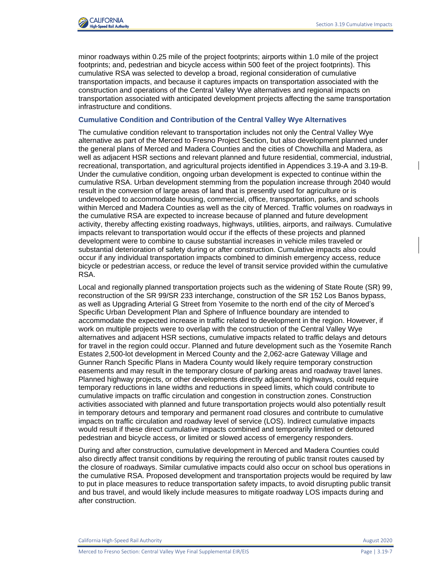

minor roadways within 0.25 mile of the project footprints; airports within 1.0 mile of the project footprints; and, pedestrian and bicycle access within 500 feet of the project footprints). This cumulative RSA was selected to develop a broad, regional consideration of cumulative transportation impacts, and because it captures impacts on transportation associated with the construction and operations of the Central Valley Wye alternatives and regional impacts on transportation associated with anticipated development projects affecting the same transportation infrastructure and conditions.

## **Cumulative Condition and Contribution of the Central Valley Wye Alternatives**

The cumulative condition relevant to transportation includes not only the Central Valley Wye alternative as part of the Merced to Fresno Project Section, but also development planned under the general plans of Merced and Madera Counties and the cities of Chowchilla and Madera, as well as adjacent HSR sections and relevant planned and future residential, commercial, industrial, recreational, transportation, and agricultural projects identified in Appendices 3.19-A and 3.19-B. Under the cumulative condition, ongoing urban development is expected to continue within the cumulative RSA. Urban development stemming from the population increase through 2040 would result in the conversion of large areas of land that is presently used for agriculture or is undeveloped to accommodate housing, commercial, office, transportation, parks, and schools within Merced and Madera Counties as well as the city of Merced. Traffic volumes on roadways in the cumulative RSA are expected to increase because of planned and future development activity, thereby affecting existing roadways, highways, utilities, airports, and railways. Cumulative impacts relevant to transportation would occur if the effects of these projects and planned development were to combine to cause substantial increases in vehicle miles traveled or substantial deterioration of safety during or after construction. Cumulative impacts also could occur if any individual transportation impacts combined to diminish emergency access, reduce bicycle or pedestrian access, or reduce the level of transit service provided within the cumulative RSA.

Local and regionally planned transportation projects such as the widening of State Route (SR) 99, reconstruction of the SR 99/SR 233 interchange, construction of the SR 152 Los Banos bypass, as well as Upgrading Arterial G Street from Yosemite to the north end of the city of Merced's Specific Urban Development Plan and Sphere of Influence boundary are intended to accommodate the expected increase in traffic related to development in the region. However, if work on multiple projects were to overlap with the construction of the Central Valley Wye alternatives and adjacent HSR sections, cumulative impacts related to traffic delays and detours for travel in the region could occur. Planned and future development such as the Yosemite Ranch Estates 2,500-lot development in Merced County and the 2,062-acre Gateway Village and Gunner Ranch Specific Plans in Madera County would likely require temporary construction easements and may result in the temporary closure of parking areas and roadway travel lanes. Planned highway projects, or other developments directly adjacent to highways, could require temporary reductions in lane widths and reductions in speed limits, which could contribute to cumulative impacts on traffic circulation and congestion in construction zones. Construction activities associated with planned and future transportation projects would also potentially result in temporary detours and temporary and permanent road closures and contribute to cumulative impacts on traffic circulation and roadway level of service (LOS). Indirect cumulative impacts would result if these direct cumulative impacts combined and temporarily limited or detoured pedestrian and bicycle access, or limited or slowed access of emergency responders.

During and after construction, cumulative development in Merced and Madera Counties could also directly affect transit conditions by requiring the rerouting of public transit routes caused by the closure of roadways. Similar cumulative impacts could also occur on school bus operations in the cumulative RSA. Proposed development and transportation projects would be required by law to put in place measures to reduce transportation safety impacts, to avoid disrupting public transit and bus travel, and would likely include measures to mitigate roadway LOS impacts during and after construction.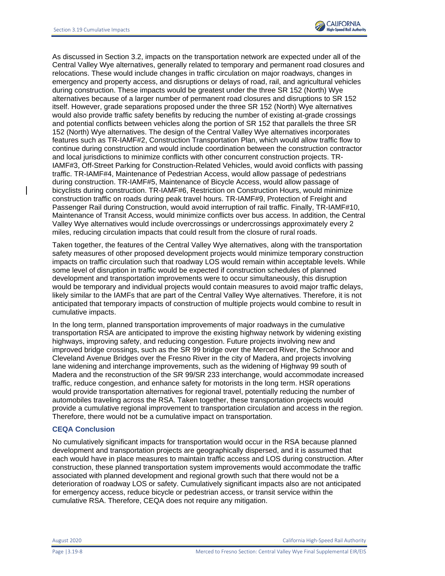

As discussed in Section 3.2, impacts on the transportation network are expected under all of the Central Valley Wye alternatives, generally related to temporary and permanent road closures and relocations. These would include changes in traffic circulation on major roadways, changes in emergency and property access, and disruptions or delays of road, rail, and agricultural vehicles during construction. These impacts would be greatest under the three SR 152 (North) Wye alternatives because of a larger number of permanent road closures and disruptions to SR 152 itself. However, grade separations proposed under the three SR 152 (North) Wye alternatives would also provide traffic safety benefits by reducing the number of existing at-grade crossings and potential conflicts between vehicles along the portion of SR 152 that parallels the three SR 152 (North) Wye alternatives. The design of the Central Valley Wye alternatives incorporates features such as TR-IAMF#2, Construction Transportation Plan, which would allow traffic flow to continue during construction and would include coordination between the construction contractor and local jurisdictions to minimize conflicts with other concurrent construction projects. TR-IAMF#3, Off-Street Parking for Construction-Related Vehicles, would avoid conflicts with passing traffic. TR-IAMF#4, Maintenance of Pedestrian Access, would allow passage of pedestrians during construction. TR-IAMF#5, Maintenance of Bicycle Access, would allow passage of bicyclists during construction. TR-IAMF#6, Restriction on Construction Hours, would minimize construction traffic on roads during peak travel hours. TR-IAMF#9, Protection of Freight and Passenger Rail during Construction, would avoid interruption of rail traffic. Finally, TR-IAMF#10, Maintenance of Transit Access, would minimize conflicts over bus access. In addition, the Central Valley Wye alternatives would include overcrossings or undercrossings approximately every 2 miles, reducing circulation impacts that could result from the closure of rural roads.

Taken together, the features of the Central Valley Wye alternatives, along with the transportation safety measures of other proposed development projects would minimize temporary construction impacts on traffic circulation such that roadway LOS would remain within acceptable levels. While some level of disruption in traffic would be expected if construction schedules of planned development and transportation improvements were to occur simultaneously, this disruption would be temporary and individual projects would contain measures to avoid major traffic delays, likely similar to the IAMFs that are part of the Central Valley Wye alternatives. Therefore, it is not anticipated that temporary impacts of construction of multiple projects would combine to result in cumulative impacts.

In the long term, planned transportation improvements of major roadways in the cumulative transportation RSA are anticipated to improve the existing highway network by widening existing highways, improving safety, and reducing congestion. Future projects involving new and improved bridge crossings, such as the SR 99 bridge over the Merced River, the Schnoor and Cleveland Avenue Bridges over the Fresno River in the city of Madera, and projects involving lane widening and interchange improvements, such as the widening of Highway 99 south of Madera and the reconstruction of the SR 99/SR 233 interchange, would accommodate increased traffic, reduce congestion, and enhance safety for motorists in the long term. HSR operations would provide transportation alternatives for regional travel, potentially reducing the number of automobiles traveling across the RSA. Taken together, these transportation projects would provide a cumulative regional improvement to transportation circulation and access in the region. Therefore, there would not be a cumulative impact on transportation.

#### **CEQA Conclusion**

No cumulatively significant impacts for transportation would occur in the RSA because planned development and transportation projects are geographically dispersed, and it is assumed that each would have in place measures to maintain traffic access and LOS during construction. After construction, these planned transportation system improvements would accommodate the traffic associated with planned development and regional growth such that there would not be a deterioration of roadway LOS or safety. Cumulatively significant impacts also are not anticipated for emergency access, reduce bicycle or pedestrian access, or transit service within the cumulative RSA. Therefore, CEQA does not require any mitigation.

August 2020 California High-Speed Rail Authority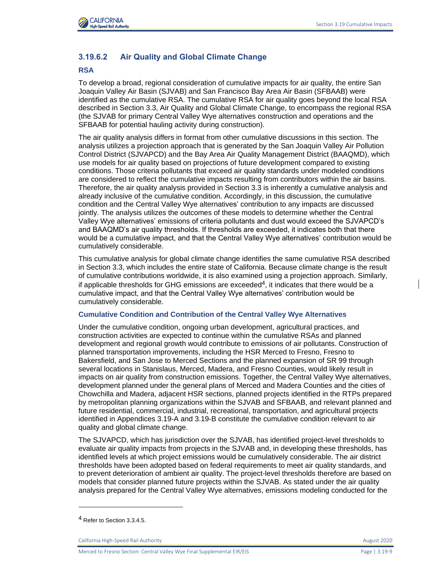

## **3.19.6.2 Air Quality and Global Climate Change**

## **RSA**

To develop a broad, regional consideration of cumulative impacts for air quality, the entire San Joaquin Valley Air Basin (SJVAB) and San Francisco Bay Area Air Basin (SFBAAB) were identified as the cumulative RSA. The cumulative RSA for air quality goes beyond the local RSA described in Section 3.3, Air Quality and Global Climate Change, to encompass the regional RSA (the SJVAB for primary Central Valley Wye alternatives construction and operations and the SFBAAB for potential hauling activity during construction).

The air quality analysis differs in format from other cumulative discussions in this section. The analysis utilizes a projection approach that is generated by the San Joaquin Valley Air Pollution Control District (SJVAPCD) and the Bay Area Air Quality Management District (BAAQMD), which use models for air quality based on projections of future development compared to existing conditions. Those criteria pollutants that exceed air quality standards under modeled conditions are considered to reflect the cumulative impacts resulting from contributors within the air basins. Therefore, the air quality analysis provided in Section 3.3 is inherently a cumulative analysis and already inclusive of the cumulative condition. Accordingly, in this discussion, the cumulative condition and the Central Valley Wye alternatives' contribution to any impacts are discussed jointly. The analysis utilizes the outcomes of these models to determine whether the Central Valley Wye alternatives' emissions of criteria pollutants and dust would exceed the SJVAPCD's and BAAQMD's air quality thresholds. If thresholds are exceeded, it indicates both that there would be a cumulative impact, and that the Central Valley Wye alternatives' contribution would be cumulatively considerable.

This cumulative analysis for global climate change identifies the same cumulative RSA described in Section 3.3, which includes the entire state of California. Because climate change is the result of cumulative contributions worldwide, it is also examined using a projection approach. Similarly, if applicable thresholds for GHG emissions are exceeded<sup>4</sup>, it indicates that there would be a cumulative impact, and that the Central Valley Wye alternatives' contribution would be cumulatively considerable.

## **Cumulative Condition and Contribution of the Central Valley Wye Alternatives**

Under the cumulative condition, ongoing urban development, agricultural practices, and construction activities are expected to continue within the cumulative RSAs and planned development and regional growth would contribute to emissions of air pollutants. Construction of planned transportation improvements, including the HSR Merced to Fresno, Fresno to Bakersfield, and San Jose to Merced Sections and the planned expansion of SR 99 through several locations in Stanislaus, Merced, Madera, and Fresno Counties, would likely result in impacts on air quality from construction emissions. Together, the Central Valley Wye alternatives, development planned under the general plans of Merced and Madera Counties and the cities of Chowchilla and Madera, adjacent HSR sections, planned projects identified in the RTPs prepared by metropolitan planning organizations within the SJVAB and SFBAAB, and relevant planned and future residential, commercial, industrial, recreational, transportation, and agricultural projects identified in Appendices 3.19-A and 3.19-B constitute the cumulative condition relevant to air quality and global climate change.

The SJVAPCD, which has jurisdiction over the SJVAB, has identified project-level thresholds to evaluate air quality impacts from projects in the SJVAB and, in developing these thresholds, has identified levels at which project emissions would be cumulatively considerable. The air district thresholds have been adopted based on federal requirements to meet air quality standards, and to prevent deterioration of ambient air quality. The project-level thresholds therefore are based on models that consider planned future projects within the SJVAB. As stated under the air quality analysis prepared for the Central Valley Wye alternatives, emissions modeling conducted for the

<sup>&</sup>lt;sup>4</sup> Refer to Section 3.3.4.5.

California High-Speed Rail Authority **August 2020 August 2020**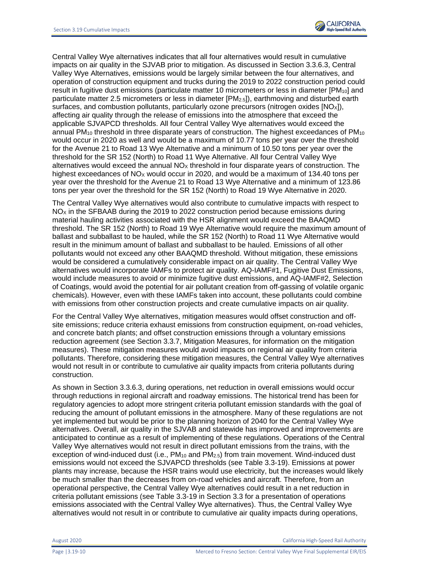Central Valley Wye alternatives indicates that all four alternatives would result in cumulative impacts on air quality in the SJVAB prior to mitigation. As discussed in Section 3.3.6.3, Central Valley Wye Alternatives, emissions would be largely similar between the four alternatives, and operation of construction equipment and trucks during the 2019 to 2022 construction period could result in fugitive dust emissions (particulate matter 10 micrometers or less in diameter [PM<sub>10</sub>] and particulate matter 2.5 micrometers or less in diameter [PM<sub>2.5</sub>]), earthmoving and disturbed earth surfaces, and combustion pollutants, particularly ozone precursors (nitrogen oxides [NO<sub>X</sub>]), affecting air quality through the release of emissions into the atmosphere that exceed the applicable SJVAPCD thresholds. All four Central Valley Wye alternatives would exceed the annual PM<sub>10</sub> threshold in three disparate years of construction. The highest exceedances of PM<sub>10</sub> would occur in 2020 as well and would be a maximum of 10.77 tons per year over the threshold for the Avenue 21 to Road 13 Wye Alternative and a minimum of 10.50 tons per year over the threshold for the SR 152 (North) to Road 11 Wye Alternative. All four Central Valley Wye alternatives would exceed the annual  $NO<sub>x</sub>$  threshold in four disparate years of construction. The highest exceedances of  $NO<sub>X</sub>$  would occur in 2020, and would be a maximum of 134.40 tons per year over the threshold for the Avenue 21 to Road 13 Wye Alternative and a minimum of 123.86 tons per year over the threshold for the SR 152 (North) to Road 19 Wye Alternative in 2020.

The Central Valley Wye alternatives would also contribute to cumulative impacts with respect to  $NO<sub>x</sub>$  in the SFBAAB during the 2019 to 2022 construction period because emissions during material hauling activities associated with the HSR alignment would exceed the BAAQMD threshold. The SR 152 (North) to Road 19 Wye Alternative would require the maximum amount of ballast and subballast to be hauled, while the SR 152 (North) to Road 11 Wye Alternative would result in the minimum amount of ballast and subballast to be hauled. Emissions of all other pollutants would not exceed any other BAAQMD threshold. Without mitigation, these emissions would be considered a cumulatively considerable impact on air quality. The Central Valley Wye alternatives would incorporate IAMFs to protect air quality. AQ-IAMF#1, Fugitive Dust Emissions, would include measures to avoid or minimize fugitive dust emissions, and AQ-IAMF#2, Selection of Coatings, would avoid the potential for air pollutant creation from off-gassing of volatile organic chemicals). However, even with these IAMFs taken into account, these pollutants could combine with emissions from other construction projects and create cumulative impacts on air quality.

For the Central Valley Wye alternatives, mitigation measures would offset construction and offsite emissions; reduce criteria exhaust emissions from construction equipment, on-road vehicles, and concrete batch plants; and offset construction emissions through a voluntary emissions reduction agreement (see Section 3.3.7, Mitigation Measures, for information on the mitigation measures). These mitigation measures would avoid impacts on regional air quality from criteria pollutants. Therefore, considering these mitigation measures, the Central Valley Wye alternatives would not result in or contribute to cumulative air quality impacts from criteria pollutants during construction.

As shown in Section 3.3.6.3, during operations, net reduction in overall emissions would occur through reductions in regional aircraft and roadway emissions. The historical trend has been for regulatory agencies to adopt more stringent criteria pollutant emission standards with the goal of reducing the amount of pollutant emissions in the atmosphere. Many of these regulations are not yet implemented but would be prior to the planning horizon of 2040 for the Central Valley Wye alternatives. Overall, air quality in the SJVAB and statewide has improved and improvements are anticipated to continue as a result of implementing of these regulations. Operations of the Central Valley Wye alternatives would not result in direct pollutant emissions from the trains, with the exception of wind-induced dust (i.e., PM<sub>10</sub> and PM<sub>2.5</sub>) from train movement. Wind-induced dust emissions would not exceed the SJVAPCD thresholds (see Table 3.3-19). Emissions at power plants may increase, because the HSR trains would use electricity, but the increases would likely be much smaller than the decreases from on-road vehicles and aircraft. Therefore, from an operational perspective, the Central Valley Wye alternatives could result in a net reduction in criteria pollutant emissions (see Table 3.3-19 in Section 3.3 for a presentation of operations emissions associated with the Central Valley Wye alternatives). Thus, the Central Valley Wye alternatives would not result in or contribute to cumulative air quality impacts during operations,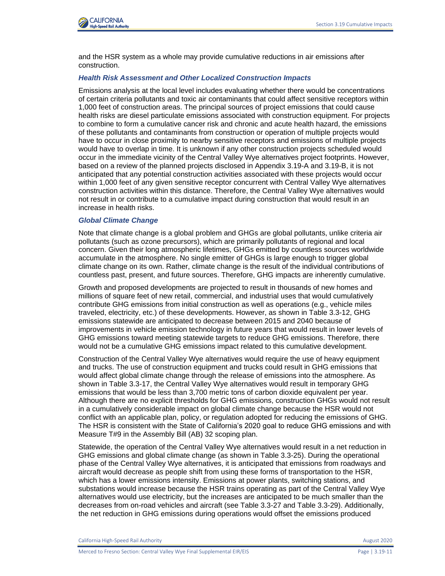

and the HSR system as a whole may provide cumulative reductions in air emissions after construction.

### *Health Risk Assessment and Other Localized Construction Impacts*

Emissions analysis at the local level includes evaluating whether there would be concentrations of certain criteria pollutants and toxic air contaminants that could affect sensitive receptors within 1,000 feet of construction areas. The principal sources of project emissions that could cause health risks are diesel particulate emissions associated with construction equipment. For projects to combine to form a cumulative cancer risk and chronic and acute health hazard, the emissions of these pollutants and contaminants from construction or operation of multiple projects would have to occur in close proximity to nearby sensitive receptors and emissions of multiple projects would have to overlap in time. It is unknown if any other construction projects scheduled would occur in the immediate vicinity of the Central Valley Wye alternatives project footprints. However, based on a review of the planned projects disclosed in Appendix 3.19-A and 3.19-B, it is not anticipated that any potential construction activities associated with these projects would occur within 1,000 feet of any given sensitive receptor concurrent with Central Valley Wye alternatives construction activities within this distance. Therefore, the Central Valley Wye alternatives would not result in or contribute to a cumulative impact during construction that would result in an increase in health risks.

#### *Global Climate Change*

Note that climate change is a global problem and GHGs are global pollutants, unlike criteria air pollutants (such as ozone precursors), which are primarily pollutants of regional and local concern. Given their long atmospheric lifetimes, GHGs emitted by countless sources worldwide accumulate in the atmosphere. No single emitter of GHGs is large enough to trigger global climate change on its own. Rather, climate change is the result of the individual contributions of countless past, present, and future sources. Therefore, GHG impacts are inherently cumulative.

Growth and proposed developments are projected to result in thousands of new homes and millions of square feet of new retail, commercial, and industrial uses that would cumulatively contribute GHG emissions from initial construction as well as operations (e.g., vehicle miles traveled, electricity, etc.) of these developments. However, as shown in Table 3.3-12, GHG emissions statewide are anticipated to decrease between 2015 and 2040 because of improvements in vehicle emission technology in future years that would result in lower levels of GHG emissions toward meeting statewide targets to reduce GHG emissions. Therefore, there would not be a cumulative GHG emissions impact related to this cumulative development.

Construction of the Central Valley Wye alternatives would require the use of heavy equipment and trucks. The use of construction equipment and trucks could result in GHG emissions that would affect global climate change through the release of emissions into the atmosphere. As shown in Table 3.3-17, the Central Valley Wye alternatives would result in temporary GHG emissions that would be less than 3,700 metric tons of carbon dioxide equivalent per year. Although there are no explicit thresholds for GHG emissions, construction GHGs would not result in a cumulatively considerable impact on global climate change because the HSR would not conflict with an applicable plan, policy, or regulation adopted for reducing the emissions of GHG. The HSR is consistent with the State of California's 2020 goal to reduce GHG emissions and with Measure T#9 in the Assembly Bill (AB) 32 scoping plan.

Statewide, the operation of the Central Valley Wye alternatives would result in a net reduction in GHG emissions and global climate change (as shown in Table 3.3-25). During the operational phase of the Central Valley Wye alternatives, it is anticipated that emissions from roadways and aircraft would decrease as people shift from using these forms of transportation to the HSR, which has a lower emissions intensity. Emissions at power plants, switching stations, and substations would increase because the HSR trains operating as part of the Central Valley Wye alternatives would use electricity, but the increases are anticipated to be much smaller than the decreases from on-road vehicles and aircraft (see Table 3.3-27 and Table 3.3-29). Additionally, the net reduction in GHG emissions during operations would offset the emissions produced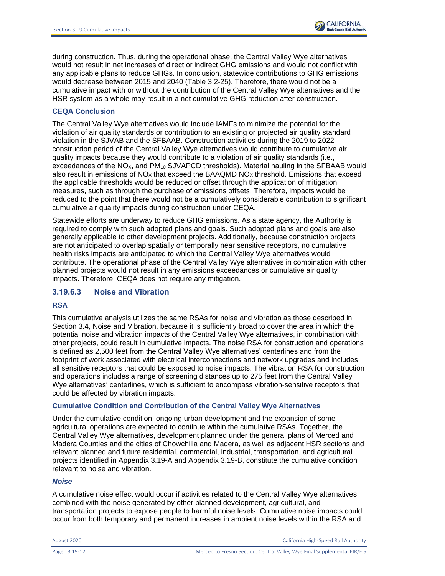during construction. Thus, during the operational phase, the Central Valley Wye alternatives would not result in net increases of direct or indirect GHG emissions and would not conflict with any applicable plans to reduce GHGs. In conclusion, statewide contributions to GHG emissions would decrease between 2015 and 2040 (Table 3.2-25). Therefore, there would not be a cumulative impact with or without the contribution of the Central Valley Wye alternatives and the HSR system as a whole may result in a net cumulative GHG reduction after construction.

## **CEQA Conclusion**

The Central Valley Wye alternatives would include IAMFs to minimize the potential for the violation of air quality standards or contribution to an existing or projected air quality standard violation in the SJVAB and the SFBAAB. Construction activities during the 2019 to 2022 construction period of the Central Valley Wye alternatives would contribute to cumulative air quality impacts because they would contribute to a violation of air quality standards (i.e., exceedances of the NO<sub>x</sub>, and PM<sub>10</sub> SJVAPCD thresholds). Material hauling in the SFBAAB would also result in emissions of  $NO<sub>x</sub>$  that exceed the BAAQMD  $NO<sub>x</sub>$  threshold. Emissions that exceed the applicable thresholds would be reduced or offset through the application of mitigation measures, such as through the purchase of emissions offsets. Therefore, impacts would be reduced to the point that there would not be a cumulatively considerable contribution to significant cumulative air quality impacts during construction under CEQA.

Statewide efforts are underway to reduce GHG emissions. As a state agency, the Authority is required to comply with such adopted plans and goals. Such adopted plans and goals are also generally applicable to other development projects. Additionally, because construction projects are not anticipated to overlap spatially or temporally near sensitive receptors, no cumulative health risks impacts are anticipated to which the Central Valley Wye alternatives would contribute. The operational phase of the Central Valley Wye alternatives in combination with other planned projects would not result in any emissions exceedances or cumulative air quality impacts. Therefore, CEQA does not require any mitigation.

## **3.19.6.3 Noise and Vibration**

## **RSA**

This cumulative analysis utilizes the same RSAs for noise and vibration as those described in Section 3.4, Noise and Vibration, because it is sufficiently broad to cover the area in which the potential noise and vibration impacts of the Central Valley Wye alternatives, in combination with other projects, could result in cumulative impacts. The noise RSA for construction and operations is defined as 2,500 feet from the Central Valley Wye alternatives' centerlines and from the footprint of work associated with electrical interconnections and network upgrades and includes all sensitive receptors that could be exposed to noise impacts. The vibration RSA for construction and operations includes a range of screening distances up to 275 feet from the Central Valley Wye alternatives' centerlines, which is sufficient to encompass vibration-sensitive receptors that could be affected by vibration impacts.

## **Cumulative Condition and Contribution of the Central Valley Wye Alternatives**

Under the cumulative condition, ongoing urban development and the expansion of some agricultural operations are expected to continue within the cumulative RSAs. Together, the Central Valley Wye alternatives, development planned under the general plans of Merced and Madera Counties and the cities of Chowchilla and Madera, as well as adjacent HSR sections and relevant planned and future residential, commercial, industrial, transportation, and agricultural projects identified in Appendix 3.19-A and Appendix 3.19-B, constitute the cumulative condition relevant to noise and vibration.

## *Noise*

A cumulative noise effect would occur if activities related to the Central Valley Wye alternatives combined with the noise generated by other planned development, agricultural, and transportation projects to expose people to harmful noise levels. Cumulative noise impacts could occur from both temporary and permanent increases in ambient noise levels within the RSA and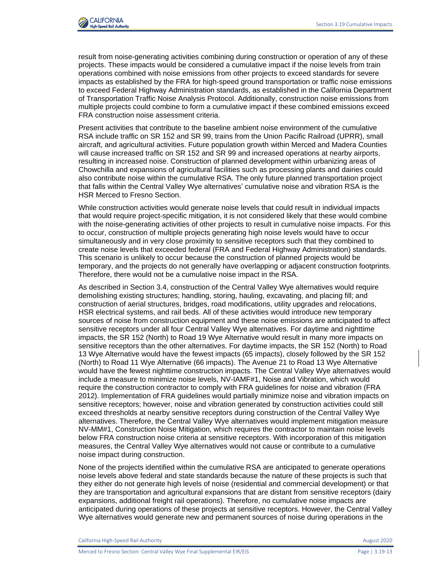

result from noise-generating activities combining during construction or operation of any of these projects. These impacts would be considered a cumulative impact if the noise levels from train operations combined with noise emissions from other projects to exceed standards for severe impacts as established by the FRA for high-speed ground transportation or traffic noise emissions to exceed Federal Highway Administration standards, as established in the California Department of Transportation Traffic Noise Analysis Protocol. Additionally, construction noise emissions from multiple projects could combine to form a cumulative impact if these combined emissions exceed FRA construction noise assessment criteria.

Present activities that contribute to the baseline ambient noise environment of the cumulative RSA include traffic on SR 152 and SR 99, trains from the Union Pacific Railroad (UPRR), small aircraft, and agricultural activities. Future population growth within Merced and Madera Counties will cause increased traffic on SR 152 and SR 99 and increased operations at nearby airports, resulting in increased noise. Construction of planned development within urbanizing areas of Chowchilla and expansions of agricultural facilities such as processing plants and dairies could also contribute noise within the cumulative RSA. The only future planned transportation project that falls within the Central Valley Wye alternatives' cumulative noise and vibration RSA is the HSR Merced to Fresno Section.

While construction activities would generate noise levels that could result in individual impacts that would require project-specific mitigation, it is not considered likely that these would combine with the noise-generating activities of other projects to result in cumulative noise impacts. For this to occur, construction of multiple projects generating high noise levels would have to occur simultaneously and in very close proximity to sensitive receptors such that they combined to create noise levels that exceeded federal (FRA and Federal Highway Administration) standards. This scenario is unlikely to occur because the construction of planned projects would be temporary, and the projects do not generally have overlapping or adjacent construction footprints. Therefore, there would not be a cumulative noise impact in the RSA.

As described in Section 3.4, construction of the Central Valley Wye alternatives would require demolishing existing structures; handling, storing, hauling, excavating, and placing fill; and construction of aerial structures, bridges, road modifications, utility upgrades and relocations, HSR electrical systems, and rail beds. All of these activities would introduce new temporary sources of noise from construction equipment and these noise emissions are anticipated to affect sensitive receptors under all four Central Valley Wye alternatives. For daytime and nighttime impacts, the SR 152 (North) to Road 19 Wye Alternative would result in many more impacts on sensitive receptors than the other alternatives. For daytime impacts, the SR 152 (North) to Road 13 Wye Alternative would have the fewest impacts (65 impacts), closely followed by the SR 152 (North) to Road 11 Wye Alternative (66 impacts). The Avenue 21 to Road 13 Wye Alternative would have the fewest nighttime construction impacts. The Central Valley Wye alternatives would include a measure to minimize noise levels, NV-IAMF#1, Noise and Vibration, which would require the construction contractor to comply with FRA guidelines for noise and vibration (FRA 2012). Implementation of FRA guidelines would partially minimize noise and vibration impacts on sensitive receptors; however, noise and vibration generated by construction activities could still exceed thresholds at nearby sensitive receptors during construction of the Central Valley Wye alternatives. Therefore, the Central Valley Wye alternatives would implement mitigation measure NV-MM#1, Construction Noise Mitigation, which requires the contractor to maintain noise levels below FRA construction noise criteria at sensitive receptors. With incorporation of this mitigation measures, the Central Valley Wye alternatives would not cause or contribute to a cumulative noise impact during construction.

None of the projects identified within the cumulative RSA are anticipated to generate operations noise levels above federal and state standards because the nature of these projects is such that they either do not generate high levels of noise (residential and commercial development) or that they are transportation and agricultural expansions that are distant from sensitive receptors (dairy expansions, additional freight rail operations). Therefore, no cumulative noise impacts are anticipated during operations of these projects at sensitive receptors. However, the Central Valley Wye alternatives would generate new and permanent sources of noise during operations in the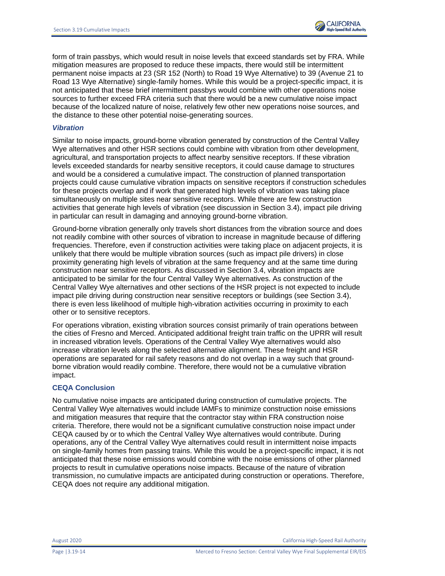form of train passbys, which would result in noise levels that exceed standards set by FRA. While mitigation measures are proposed to reduce these impacts, there would still be intermittent permanent noise impacts at 23 (SR 152 (North) to Road 19 Wye Alternative) to 39 (Avenue 21 to Road 13 Wye Alternative) single-family homes. While this would be a project-specific impact, it is not anticipated that these brief intermittent passbys would combine with other operations noise sources to further exceed FRA criteria such that there would be a new cumulative noise impact because of the localized nature of noise, relatively few other new operations noise sources, and the distance to these other potential noise-generating sources.

### *Vibration*

Similar to noise impacts, ground-borne vibration generated by construction of the Central Valley Wye alternatives and other HSR sections could combine with vibration from other development, agricultural, and transportation projects to affect nearby sensitive receptors. If these vibration levels exceeded standards for nearby sensitive receptors, it could cause damage to structures and would be a considered a cumulative impact. The construction of planned transportation projects could cause cumulative vibration impacts on sensitive receptors if construction schedules for these projects overlap and if work that generated high levels of vibration was taking place simultaneously on multiple sites near sensitive receptors. While there are few construction activities that generate high levels of vibration (see discussion in Section 3.4), impact pile driving in particular can result in damaging and annoying ground-borne vibration.

Ground-borne vibration generally only travels short distances from the vibration source and does not readily combine with other sources of vibration to increase in magnitude because of differing frequencies. Therefore, even if construction activities were taking place on adjacent projects, it is unlikely that there would be multiple vibration sources (such as impact pile drivers) in close proximity generating high levels of vibration at the same frequency and at the same time during construction near sensitive receptors. As discussed in Section 3.4, vibration impacts are anticipated to be similar for the four Central Valley Wye alternatives. As construction of the Central Valley Wye alternatives and other sections of the HSR project is not expected to include impact pile driving during construction near sensitive receptors or buildings (see Section 3.4), there is even less likelihood of multiple high-vibration activities occurring in proximity to each other or to sensitive receptors.

For operations vibration, existing vibration sources consist primarily of train operations between the cities of Fresno and Merced. Anticipated additional freight train traffic on the UPRR will result in increased vibration levels. Operations of the Central Valley Wye alternatives would also increase vibration levels along the selected alternative alignment. These freight and HSR operations are separated for rail safety reasons and do not overlap in a way such that groundborne vibration would readily combine. Therefore, there would not be a cumulative vibration impact.

## **CEQA Conclusion**

No cumulative noise impacts are anticipated during construction of cumulative projects. The Central Valley Wye alternatives would include IAMFs to minimize construction noise emissions and mitigation measures that require that the contractor stay within FRA construction noise criteria. Therefore, there would not be a significant cumulative construction noise impact under CEQA caused by or to which the Central Valley Wye alternatives would contribute. During operations, any of the Central Valley Wye alternatives could result in intermittent noise impacts on single-family homes from passing trains. While this would be a project-specific impact, it is not anticipated that these noise emissions would combine with the noise emissions of other planned projects to result in cumulative operations noise impacts. Because of the nature of vibration transmission, no cumulative impacts are anticipated during construction or operations. Therefore, CEQA does not require any additional mitigation.

August 2020 California High-Speed Rail Authority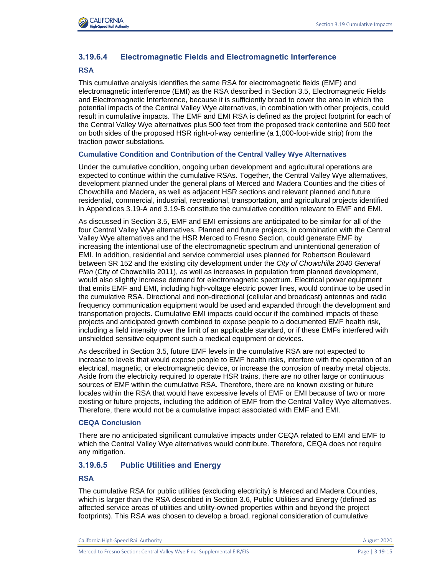

## **3.19.6.4 Electromagnetic Fields and Electromagnetic Interference**

## **RSA**

This cumulative analysis identifies the same RSA for electromagnetic fields (EMF) and electromagnetic interference (EMI) as the RSA described in Section 3.5, Electromagnetic Fields and Electromagnetic Interference, because it is sufficiently broad to cover the area in which the potential impacts of the Central Valley Wye alternatives, in combination with other projects, could result in cumulative impacts. The EMF and EMI RSA is defined as the project footprint for each of the Central Valley Wye alternatives plus 500 feet from the proposed track centerline and 500 feet on both sides of the proposed HSR right-of-way centerline (a 1,000-foot-wide strip) from the traction power substations.

### **Cumulative Condition and Contribution of the Central Valley Wye Alternatives**

Under the cumulative condition, ongoing urban development and agricultural operations are expected to continue within the cumulative RSAs. Together, the Central Valley Wye alternatives, development planned under the general plans of Merced and Madera Counties and the cities of Chowchilla and Madera, as well as adjacent HSR sections and relevant planned and future residential, commercial, industrial, recreational, transportation, and agricultural projects identified in Appendices 3.19-A and 3.19-B constitute the cumulative condition relevant to EMF and EMI.

As discussed in Section 3.5, EMF and EMI emissions are anticipated to be similar for all of the four Central Valley Wye alternatives. Planned and future projects, in combination with the Central Valley Wye alternatives and the HSR Merced to Fresno Section, could generate EMF by increasing the intentional use of the electromagnetic spectrum and unintentional generation of EMI. In addition, residential and service commercial uses planned for Robertson Boulevard between SR 152 and the existing city development under the *City of Chowchilla 2040 General Plan* (City of Chowchilla 2011), as well as increases in population from planned development, would also slightly increase demand for electromagnetic spectrum. Electrical power equipment that emits EMF and EMI, including high-voltage electric power lines, would continue to be used in the cumulative RSA. Directional and non-directional (cellular and broadcast) antennas and radio frequency communication equipment would be used and expanded through the development and transportation projects. Cumulative EMI impacts could occur if the combined impacts of these projects and anticipated growth combined to expose people to a documented EMF health risk, including a field intensity over the limit of an applicable standard, or if these EMFs interfered with unshielded sensitive equipment such a medical equipment or devices.

As described in Section 3.5, future EMF levels in the cumulative RSA are not expected to increase to levels that would expose people to EMF health risks, interfere with the operation of an electrical, magnetic, or electromagnetic device, or increase the corrosion of nearby metal objects. Aside from the electricity required to operate HSR trains, there are no other large or continuous sources of EMF within the cumulative RSA. Therefore, there are no known existing or future locales within the RSA that would have excessive levels of EMF or EMI because of two or more existing or future projects, including the addition of EMF from the Central Valley Wye alternatives. Therefore, there would not be a cumulative impact associated with EMF and EMI.

## **CEQA Conclusion**

There are no anticipated significant cumulative impacts under CEQA related to EMI and EMF to which the Central Valley Wye alternatives would contribute. Therefore, CEQA does not require any mitigation.

## **3.19.6.5 Public Utilities and Energy**

## **RSA**

The cumulative RSA for public utilities (excluding electricity) is Merced and Madera Counties, which is larger than the RSA described in Section 3.6, Public Utilities and Energy (defined as affected service areas of utilities and utility-owned properties within and beyond the project footprints). This RSA was chosen to develop a broad, regional consideration of cumulative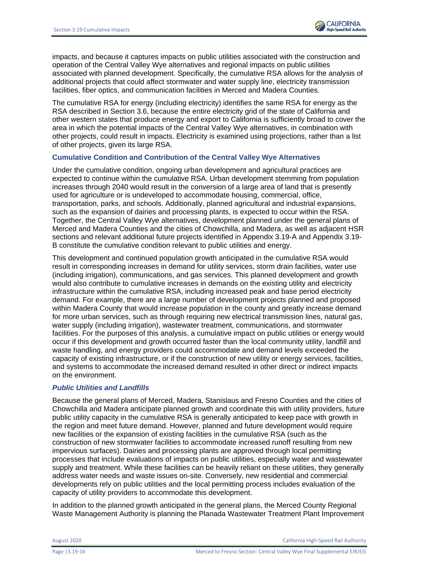impacts, and because it captures impacts on public utilities associated with the construction and operation of the Central Valley Wye alternatives and regional impacts on public utilities associated with planned development. Specifically, the cumulative RSA allows for the analysis of additional projects that could affect stormwater and water supply line, electricity transmission facilities, fiber optics, and communication facilities in Merced and Madera Counties.

The cumulative RSA for energy (including electricity) identifies the same RSA for energy as the RSA described in Section 3.6, because the entire electricity grid of the state of California and other western states that produce energy and export to California is sufficiently broad to cover the area in which the potential impacts of the Central Valley Wye alternatives, in combination with other projects, could result in impacts. Electricity is examined using projections, rather than a list of other projects, given its large RSA.

### **Cumulative Condition and Contribution of the Central Valley Wye Alternatives**

Under the cumulative condition, ongoing urban development and agricultural practices are expected to continue within the cumulative RSA. Urban development stemming from population increases through 2040 would result in the conversion of a large area of land that is presently used for agriculture or is undeveloped to accommodate housing, commercial, office, transportation, parks, and schools. Additionally, planned agricultural and industrial expansions, such as the expansion of dairies and processing plants, is expected to occur within the RSA. Together, the Central Valley Wye alternatives, development planned under the general plans of Merced and Madera Counties and the cities of Chowchilla, and Madera, as well as adjacent HSR sections and relevant additional future projects identified in Appendix 3.19-A and Appendix 3.19- B constitute the cumulative condition relevant to public utilities and energy.

This development and continued population growth anticipated in the cumulative RSA would result in corresponding increases in demand for utility services, storm drain facilities, water use (including irrigation), communications, and gas services. This planned development and growth would also contribute to cumulative increases in demands on the existing utility and electricity infrastructure within the cumulative RSA, including increased peak and base period electricity demand. For example, there are a large number of development projects planned and proposed within Madera County that would increase population in the county and greatly increase demand for more urban services, such as through requiring new electrical transmission lines, natural gas, water supply (including irrigation), wastewater treatment, communications, and stormwater facilities. For the purposes of this analysis, a cumulative impact on public utilities or energy would occur if this development and growth occurred faster than the local community utility, landfill and waste handling, and energy providers could accommodate and demand levels exceeded the capacity of existing infrastructure, or if the construction of new utility or energy services, facilities, and systems to accommodate the increased demand resulted in other direct or indirect impacts on the environment.

## *Public Utilities and Landfills*

Because the general plans of Merced, Madera, Stanislaus and Fresno Counties and the cities of Chowchilla and Madera anticipate planned growth and coordinate this with utility providers, future public utility capacity in the cumulative RSA is generally anticipated to keep pace with growth in the region and meet future demand. However, planned and future development would require new facilities or the expansion of existing facilities in the cumulative RSA (such as the construction of new stormwater facilities to accommodate increased runoff resulting from new impervious surfaces). Dairies and processing plants are approved through local permitting processes that include evaluations of impacts on public utilities, especially water and wastewater supply and treatment. While these facilities can be heavily reliant on these utilities, they generally address water needs and waste issues on-site. Conversely, new residential and commercial developments rely on public utilities and the local permitting process includes evaluation of the capacity of utility providers to accommodate this development.

In addition to the planned growth anticipated in the general plans, the Merced County Regional Waste Management Authority is planning the Planada Wastewater Treatment Plant Improvement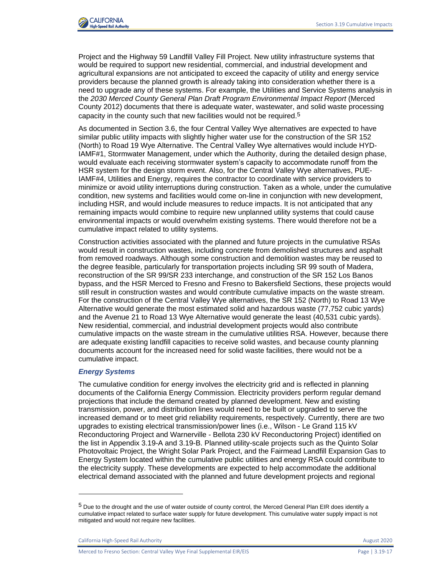

Project and the Highway 59 Landfill Valley Fill Project. New utility infrastructure systems that would be required to support new residential, commercial, and industrial development and agricultural expansions are not anticipated to exceed the capacity of utility and energy service providers because the planned growth is already taking into consideration whether there is a need to upgrade any of these systems. For example, the Utilities and Service Systems analysis in the *2030 Merced County General Plan Draft Program Environmental Impact Report* (Merced County 2012) documents that there is adequate water, wastewater, and solid waste processing capacity in the county such that new facilities would not be required.<sup>5</sup>

As documented in Section 3.6, the four Central Valley Wye alternatives are expected to have similar public utility impacts with slightly higher water use for the construction of the SR 152 (North) to Road 19 Wye Alternative. The Central Valley Wye alternatives would include HYD-IAMF#1, Stormwater Management, under which the Authority, during the detailed design phase, would evaluate each receiving stormwater system's capacity to accommodate runoff from the HSR system for the design storm event. Also, for the Central Valley Wye alternatives, PUE-IAMF#4, Utilities and Energy, requires the contractor to coordinate with service providers to minimize or avoid utility interruptions during construction. Taken as a whole, under the cumulative condition, new systems and facilities would come on-line in conjunction with new development, including HSR, and would include measures to reduce impacts. It is not anticipated that any remaining impacts would combine to require new unplanned utility systems that could cause environmental impacts or would overwhelm existing systems. There would therefore not be a cumulative impact related to utility systems.

Construction activities associated with the planned and future projects in the cumulative RSAs would result in construction wastes, including concrete from demolished structures and asphalt from removed roadways. Although some construction and demolition wastes may be reused to the degree feasible, particularly for transportation projects including SR 99 south of Madera, reconstruction of the SR 99/SR 233 interchange, and construction of the SR 152 Los Banos bypass, and the HSR Merced to Fresno and Fresno to Bakersfield Sections, these projects would still result in construction wastes and would contribute cumulative impacts on the waste stream. For the construction of the Central Valley Wye alternatives, the SR 152 (North) to Road 13 Wye Alternative would generate the most estimated solid and hazardous waste (77,752 cubic yards) and the Avenue 21 to Road 13 Wye Alternative would generate the least (40,531 cubic yards). New residential, commercial, and industrial development projects would also contribute cumulative impacts on the waste stream in the cumulative utilities RSA. However, because there are adequate existing landfill capacities to receive solid wastes, and because county planning documents account for the increased need for solid waste facilities, there would not be a cumulative impact.

### *Energy Systems*

The cumulative condition for energy involves the electricity grid and is reflected in planning documents of the California Energy Commission. Electricity providers perform regular demand projections that include the demand created by planned development. New and existing transmission, power, and distribution lines would need to be built or upgraded to serve the increased demand or to meet grid reliability requirements, respectively. Currently, there are two upgrades to existing electrical transmission/power lines (i.e., Wilson - Le Grand 115 kV Reconductoring Project and Warnerville - Bellota 230 kV Reconductoring Project) identified on the list in Appendix 3.19-A and 3.19-B. Planned utility-scale projects such as the Quinto Solar Photovoltaic Project, the Wright Solar Park Project, and the Fairmead Landfill Expansion Gas to Energy System located within the cumulative public utilities and energy RSA could contribute to the electricity supply. These developments are expected to help accommodate the additional electrical demand associated with the planned and future development projects and regional

California High-Speed Rail Authority **August 2020 August 2020** 

Merced to Fresno Section: Central Valley Wye Final Supplemental EIR/EIS Page | 3.19-17

 $5$  Due to the drought and the use of water outside of county control, the Merced General Plan EIR does identify a cumulative impact related to surface water supply for future development. This cumulative water supply impact is not mitigated and would not require new facilities.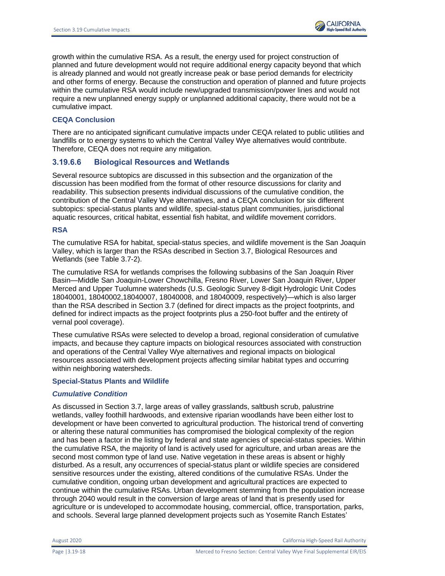growth within the cumulative RSA. As a result, the energy used for project construction of planned and future development would not require additional energy capacity beyond that which is already planned and would not greatly increase peak or base period demands for electricity and other forms of energy. Because the construction and operation of planned and future projects within the cumulative RSA would include new/upgraded transmission/power lines and would not require a new unplanned energy supply or unplanned additional capacity, there would not be a cumulative impact.

## **CEQA Conclusion**

There are no anticipated significant cumulative impacts under CEQA related to public utilities and landfills or to energy systems to which the Central Valley Wye alternatives would contribute. Therefore, CEQA does not require any mitigation.

## **3.19.6.6 Biological Resources and Wetlands**

Several resource subtopics are discussed in this subsection and the organization of the discussion has been modified from the format of other resource discussions for clarity and readability. This subsection presents individual discussions of the cumulative condition, the contribution of the Central Valley Wye alternatives, and a CEQA conclusion for six different subtopics: special-status plants and wildlife, special-status plant communities, jurisdictional aquatic resources, critical habitat, essential fish habitat, and wildlife movement corridors.

## **RSA**

The cumulative RSA for habitat, special-status species, and wildlife movement is the San Joaquin Valley, which is larger than the RSAs described in Section 3.7, Biological Resources and Wetlands (see Table 3.7-2).

The cumulative RSA for wetlands comprises the following subbasins of the San Joaquin River Basin—Middle San Joaquin-Lower Chowchilla, Fresno River, Lower San Joaquin River, Upper Merced and Upper Tuolumne watersheds (U.S. Geologic Survey 8-digit Hydrologic Unit Codes 18040001, 18040002,18040007, 18040008, and 18040009, respectively)—which is also larger than the RSA described in Section 3.7 (defined for direct impacts as the project footprints, and defined for indirect impacts as the project footprints plus a 250-foot buffer and the entirety of vernal pool coverage).

These cumulative RSAs were selected to develop a broad, regional consideration of cumulative impacts, and because they capture impacts on biological resources associated with construction and operations of the Central Valley Wye alternatives and regional impacts on biological resources associated with development projects affecting similar habitat types and occurring within neighboring watersheds.

## **Special-Status Plants and Wildlife**

## *Cumulative Condition*

As discussed in Section 3.7, large areas of valley grasslands, saltbush scrub, palustrine wetlands, valley foothill hardwoods, and extensive riparian woodlands have been either lost to development or have been converted to agricultural production. The historical trend of converting or altering these natural communities has compromised the biological complexity of the region and has been a factor in the listing by federal and state agencies of special-status species. Within the cumulative RSA, the majority of land is actively used for agriculture, and urban areas are the second most common type of land use. Native vegetation in these areas is absent or highly disturbed. As a result, any occurrences of special-status plant or wildlife species are considered sensitive resources under the existing, altered conditions of the cumulative RSAs. Under the cumulative condition, ongoing urban development and agricultural practices are expected to continue within the cumulative RSAs. Urban development stemming from the population increase through 2040 would result in the conversion of large areas of land that is presently used for agriculture or is undeveloped to accommodate housing, commercial, office, transportation, parks, and schools. Several large planned development projects such as Yosemite Ranch Estates'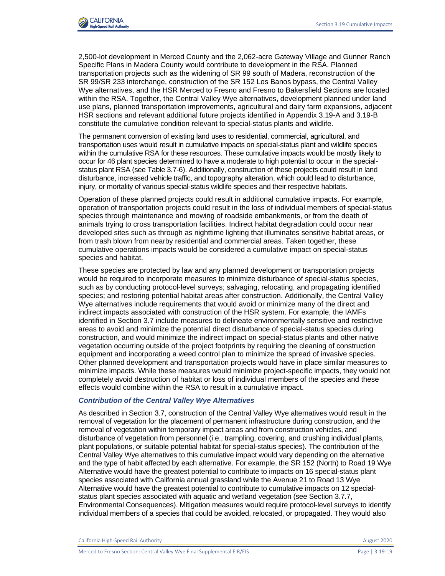

2,500-lot development in Merced County and the 2,062-acre Gateway Village and Gunner Ranch Specific Plans in Madera County would contribute to development in the RSA. Planned transportation projects such as the widening of SR 99 south of Madera, reconstruction of the SR 99/SR 233 interchange, construction of the SR 152 Los Banos bypass, the Central Valley Wye alternatives, and the HSR Merced to Fresno and Fresno to Bakersfield Sections are located within the RSA. Together, the Central Valley Wye alternatives, development planned under land use plans, planned transportation improvements, agricultural and dairy farm expansions, adjacent HSR sections and relevant additional future projects identified in Appendix 3.19-A and 3.19-B constitute the cumulative condition relevant to special-status plants and wildlife.

The permanent conversion of existing land uses to residential, commercial, agricultural, and transportation uses would result in cumulative impacts on special-status plant and wildlife species within the cumulative RSA for these resources. These cumulative impacts would be mostly likely to occur for 46 plant species determined to have a moderate to high potential to occur in the specialstatus plant RSA (see Table 3.7-6). Additionally, construction of these projects could result in land disturbance, increased vehicle traffic, and topography alteration, which could lead to disturbance, injury, or mortality of various special-status wildlife species and their respective habitats.

Operation of these planned projects could result in additional cumulative impacts. For example, operation of transportation projects could result in the loss of individual members of special-status species through maintenance and mowing of roadside embankments, or from the death of animals trying to cross transportation facilities. Indirect habitat degradation could occur near developed sites such as through as nighttime lighting that illuminates sensitive habitat areas, or from trash blown from nearby residential and commercial areas. Taken together, these cumulative operations impacts would be considered a cumulative impact on special-status species and habitat.

These species are protected by law and any planned development or transportation projects would be required to incorporate measures to minimize disturbance of special-status species, such as by conducting protocol-level surveys; salvaging, relocating, and propagating identified species; and restoring potential habitat areas after construction. Additionally, the Central Valley Wye alternatives include requirements that would avoid or minimize many of the direct and indirect impacts associated with construction of the HSR system. For example, the IAMFs identified in Section 3.7 include measures to delineate environmentally sensitive and restrictive areas to avoid and minimize the potential direct disturbance of special-status species during construction, and would minimize the indirect impact on special-status plants and other native vegetation occurring outside of the project footprints by requiring the cleaning of construction equipment and incorporating a weed control plan to minimize the spread of invasive species. Other planned development and transportation projects would have in place similar measures to minimize impacts. While these measures would minimize project-specific impacts, they would not completely avoid destruction of habitat or loss of individual members of the species and these effects would combine within the RSA to result in a cumulative impact.

#### *Contribution of the Central Valley Wye Alternatives*

As described in Section 3.7, construction of the Central Valley Wye alternatives would result in the removal of vegetation for the placement of permanent infrastructure during construction, and the removal of vegetation within temporary impact areas and from construction vehicles, and disturbance of vegetation from personnel (i.e., trampling, covering, and crushing individual plants, plant populations, or suitable potential habitat for special-status species). The contribution of the Central Valley Wye alternatives to this cumulative impact would vary depending on the alternative and the type of habit affected by each alternative. For example, the SR 152 (North) to Road 19 Wye Alternative would have the greatest potential to contribute to impacts on 16 special-status plant species associated with California annual grassland while the Avenue 21 to Road 13 Wye Alternative would have the greatest potential to contribute to cumulative impacts on 12 specialstatus plant species associated with aquatic and wetland vegetation (see Section 3.7.7, Environmental Consequences). Mitigation measures would require protocol-level surveys to identify individual members of a species that could be avoided, relocated, or propagated. They would also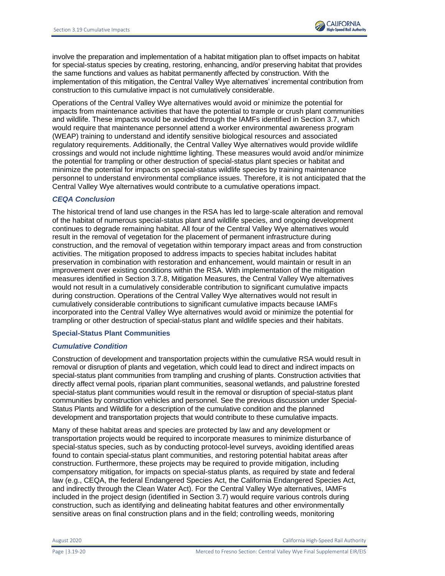

involve the preparation and implementation of a habitat mitigation plan to offset impacts on habitat for special-status species by creating, restoring, enhancing, and/or preserving habitat that provides the same functions and values as habitat permanently affected by construction. With the implementation of this mitigation, the Central Valley Wye alternatives' incremental contribution from construction to this cumulative impact is not cumulatively considerable.

Operations of the Central Valley Wye alternatives would avoid or minimize the potential for impacts from maintenance activities that have the potential to trample or crush plant communities and wildlife. These impacts would be avoided through the IAMFs identified in Section 3.7, which would require that maintenance personnel attend a worker environmental awareness program (WEAP) training to understand and identify sensitive biological resources and associated regulatory requirements. Additionally, the Central Valley Wye alternatives would provide wildlife crossings and would not include nighttime lighting. These measures would avoid and/or minimize the potential for trampling or other destruction of special-status plant species or habitat and minimize the potential for impacts on special-status wildlife species by training maintenance personnel to understand environmental compliance issues. Therefore, it is not anticipated that the Central Valley Wye alternatives would contribute to a cumulative operations impact.

## *CEQA Conclusion*

The historical trend of land use changes in the RSA has led to large-scale alteration and removal of the habitat of numerous special-status plant and wildlife species, and ongoing development continues to degrade remaining habitat. All four of the Central Valley Wye alternatives would result in the removal of vegetation for the placement of permanent infrastructure during construction, and the removal of vegetation within temporary impact areas and from construction activities. The mitigation proposed to address impacts to species habitat includes habitat preservation in combination with restoration and enhancement, would maintain or result in an improvement over existing conditions within the RSA. With implementation of the mitigation measures identified in Section 3.7.8, Mitigation Measures, the Central Valley Wye alternatives would not result in a cumulatively considerable contribution to significant cumulative impacts during construction. Operations of the Central Valley Wye alternatives would not result in cumulatively considerable contributions to significant cumulative impacts because IAMFs incorporated into the Central Valley Wye alternatives would avoid or minimize the potential for trampling or other destruction of special-status plant and wildlife species and their habitats.

#### **Special-Status Plant Communities**

#### *Cumulative Condition*

Construction of development and transportation projects within the cumulative RSA would result in removal or disruption of plants and vegetation, which could lead to direct and indirect impacts on special-status plant communities from trampling and crushing of plants. Construction activities that directly affect vernal pools, riparian plant communities, seasonal wetlands, and palustrine forested special-status plant communities would result in the removal or disruption of special-status plant communities by construction vehicles and personnel. See the previous discussion under Special-Status Plants and Wildlife for a description of the cumulative condition and the planned development and transportation projects that would contribute to these cumulative impacts.

Many of these habitat areas and species are protected by law and any development or transportation projects would be required to incorporate measures to minimize disturbance of special-status species, such as by conducting protocol-level surveys, avoiding identified areas found to contain special-status plant communities, and restoring potential habitat areas after construction. Furthermore, these projects may be required to provide mitigation, including compensatory mitigation, for impacts on special-status plants, as required by state and federal law (e.g., CEQA, the federal Endangered Species Act, the California Endangered Species Act, and indirectly through the Clean Water Act). For the Central Valley Wye alternatives, IAMFs included in the project design (identified in Section 3.7) would require various controls during construction, such as identifying and delineating habitat features and other environmentally sensitive areas on final construction plans and in the field; controlling weeds, monitoring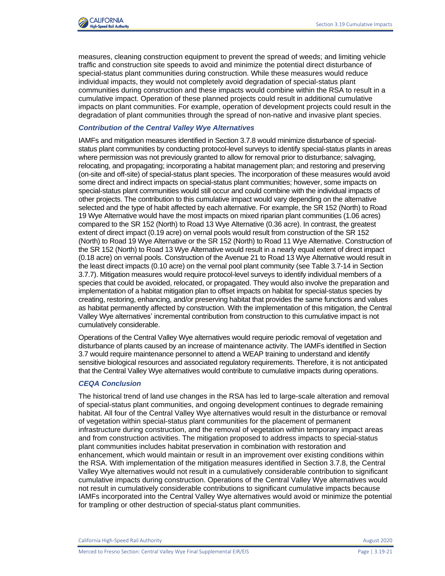

measures, cleaning construction equipment to prevent the spread of weeds; and limiting vehicle traffic and construction site speeds to avoid and minimize the potential direct disturbance of special-status plant communities during construction. While these measures would reduce individual impacts, they would not completely avoid degradation of special-status plant communities during construction and these impacts would combine within the RSA to result in a cumulative impact. Operation of these planned projects could result in additional cumulative impacts on plant communities. For example, operation of development projects could result in the degradation of plant communities through the spread of non-native and invasive plant species.

## *Contribution of the Central Valley Wye Alternatives*

IAMFs and mitigation measures identified in Section 3.7.8 would minimize disturbance of specialstatus plant communities by conducting protocol-level surveys to identify special-status plants in areas where permission was not previously granted to allow for removal prior to disturbance; salvaging, relocating, and propagating; incorporating a habitat management plan; and restoring and preserving (on-site and off-site) of special-status plant species. The incorporation of these measures would avoid some direct and indirect impacts on special-status plant communities; however, some impacts on special-status plant communities would still occur and could combine with the individual impacts of other projects. The contribution to this cumulative impact would vary depending on the alternative selected and the type of habit affected by each alternative. For example, the SR 152 (North) to Road 19 Wye Alternative would have the most impacts on mixed riparian plant communities (1.06 acres) compared to the SR 152 (North) to Road 13 Wye Alternative (0.36 acre). In contrast, the greatest extent of direct impact (0.19 acre) on vernal pools would result from construction of the SR 152 (North) to Road 19 Wye Alternative or the SR 152 (North) to Road 11 Wye Alternative. Construction of the SR 152 (North) to Road 13 Wye Alternative would result in a nearly equal extent of direct impact (0.18 acre) on vernal pools. Construction of the Avenue 21 to Road 13 Wye Alternative would result in the least direct impacts (0.10 acre) on the vernal pool plant community (see Table 3.7-14 in Section 3.7.7). Mitigation measures would require protocol-level surveys to identify individual members of a species that could be avoided, relocated, or propagated. They would also involve the preparation and implementation of a habitat mitigation plan to offset impacts on habitat for special-status species by creating, restoring, enhancing, and/or preserving habitat that provides the same functions and values as habitat permanently affected by construction. With the implementation of this mitigation, the Central Valley Wye alternatives' incremental contribution from construction to this cumulative impact is not cumulatively considerable.

Operations of the Central Valley Wye alternatives would require periodic removal of vegetation and disturbance of plants caused by an increase of maintenance activity. The IAMFs identified in Section 3.7 would require maintenance personnel to attend a WEAP training to understand and identify sensitive biological resources and associated regulatory requirements. Therefore, it is not anticipated that the Central Valley Wye alternatives would contribute to cumulative impacts during operations.

### *CEQA Conclusion*

The historical trend of land use changes in the RSA has led to large-scale alteration and removal of special-status plant communities, and ongoing development continues to degrade remaining habitat. All four of the Central Valley Wye alternatives would result in the disturbance or removal of vegetation within special-status plant communities for the placement of permanent infrastructure during construction, and the removal of vegetation within temporary impact areas and from construction activities. The mitigation proposed to address impacts to special-status plant communities includes habitat preservation in combination with restoration and enhancement, which would maintain or result in an improvement over existing conditions within the RSA. With implementation of the mitigation measures identified in Section 3.7.8, the Central Valley Wye alternatives would not result in a cumulatively considerable contribution to significant cumulative impacts during construction. Operations of the Central Valley Wye alternatives would not result in cumulatively considerable contributions to significant cumulative impacts because IAMFs incorporated into the Central Valley Wye alternatives would avoid or minimize the potential for trampling or other destruction of special-status plant communities.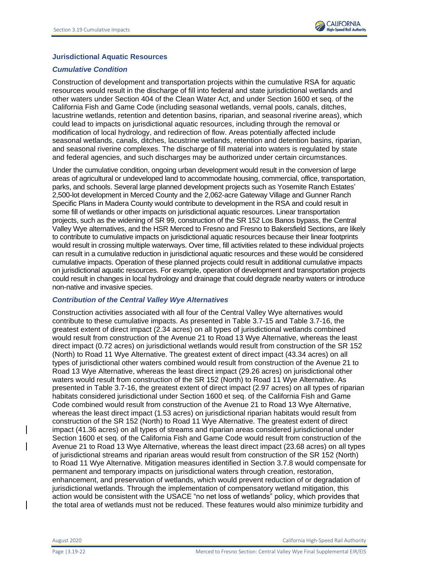## **Jurisdictional Aquatic Resources**

### *Cumulative Condition*

Construction of development and transportation projects within the cumulative RSA for aquatic resources would result in the discharge of fill into federal and state jurisdictional wetlands and other waters under Section 404 of the Clean Water Act, and under Section 1600 et seq. of the California Fish and Game Code (including seasonal wetlands, vernal pools, canals, ditches, lacustrine wetlands, retention and detention basins, riparian, and seasonal riverine areas), which could lead to impacts on jurisdictional aquatic resources, including through the removal or modification of local hydrology, and redirection of flow. Areas potentially affected include seasonal wetlands, canals, ditches, lacustrine wetlands, retention and detention basins, riparian, and seasonal riverine complexes. The discharge of fill material into waters is regulated by state and federal agencies, and such discharges may be authorized under certain circumstances.

Under the cumulative condition, ongoing urban development would result in the conversion of large areas of agricultural or undeveloped land to accommodate housing, commercial, office, transportation, parks, and schools. Several large planned development projects such as Yosemite Ranch Estates' 2,500-lot development in Merced County and the 2,062-acre Gateway Village and Gunner Ranch Specific Plans in Madera County would contribute to development in the RSA and could result in some fill of wetlands or other impacts on jurisdictional aquatic resources. Linear transportation projects, such as the widening of SR 99, construction of the SR 152 Los Banos bypass, the Central Valley Wye alternatives, and the HSR Merced to Fresno and Fresno to Bakersfield Sections, are likely to contribute to cumulative impacts on jurisdictional aquatic resources because their linear footprints would result in crossing multiple waterways. Over time, fill activities related to these individual projects can result in a cumulative reduction in jurisdictional aquatic resources and these would be considered cumulative impacts. Operation of these planned projects could result in additional cumulative impacts on jurisdictional aquatic resources. For example, operation of development and transportation projects could result in changes in local hydrology and drainage that could degrade nearby waters or introduce non-native and invasive species.

## *Contribution of the Central Valley Wye Alternatives*

Construction activities associated with all four of the Central Valley Wye alternatives would contribute to these cumulative impacts. As presented in Table 3.7-15 and Table 3.7-16, the greatest extent of direct impact (2.34 acres) on all types of jurisdictional wetlands combined would result from construction of the Avenue 21 to Road 13 Wye Alternative, whereas the least direct impact (0.72 acres) on jurisdictional wetlands would result from construction of the SR 152 (North) to Road 11 Wye Alternative. The greatest extent of direct impact (43.34 acres) on all types of jurisdictional other waters combined would result from construction of the Avenue 21 to Road 13 Wye Alternative, whereas the least direct impact (29.26 acres) on jurisdictional other waters would result from construction of the SR 152 (North) to Road 11 Wye Alternative. As presented in Table 3.7-16, the greatest extent of direct impact (2.97 acres) on all types of riparian habitats considered jurisdictional under Section 1600 et seq. of the California Fish and Game Code combined would result from construction of the Avenue 21 to Road 13 Wye Alternative, whereas the least direct impact (1.53 acres) on jurisdictional riparian habitats would result from construction of the SR 152 (North) to Road 11 Wye Alternative. The greatest extent of direct impact (41.36 acres) on all types of streams and riparian areas considered jurisdictional under Section 1600 et seq. of the California Fish and Game Code would result from construction of the Avenue 21 to Road 13 Wye Alternative, whereas the least direct impact (23.68 acres) on all types of jurisdictional streams and riparian areas would result from construction of the SR 152 (North) to Road 11 Wye Alternative. Mitigation measures identified in Section 3.7.8 would compensate for permanent and temporary impacts on jurisdictional waters through creation, restoration, enhancement, and preservation of wetlands, which would prevent reduction of or degradation of jurisdictional wetlands. Through the implementation of compensatory wetland mitigation, this action would be consistent with the USACE "no net loss of wetlands" policy, which provides that the total area of wetlands must not be reduced. These features would also minimize turbidity and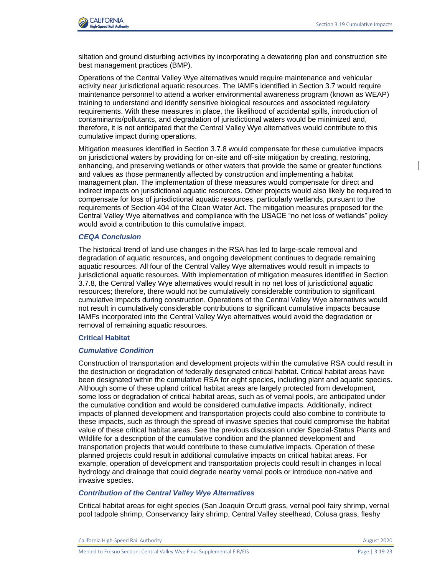

siltation and ground disturbing activities by incorporating a dewatering plan and construction site best management practices (BMP).

Operations of the Central Valley Wye alternatives would require maintenance and vehicular activity near jurisdictional aquatic resources. The IAMFs identified in Section 3.7 would require maintenance personnel to attend a worker environmental awareness program (known as WEAP) training to understand and identify sensitive biological resources and associated regulatory requirements. With these measures in place, the likelihood of accidental spills, introduction of contaminants/pollutants, and degradation of jurisdictional waters would be minimized and, therefore, it is not anticipated that the Central Valley Wye alternatives would contribute to this cumulative impact during operations.

Mitigation measures identified in Section 3.7.8 would compensate for these cumulative impacts on jurisdictional waters by providing for on-site and off-site mitigation by creating, restoring, enhancing, and preserving wetlands or other waters that provide the same or greater functions and values as those permanently affected by construction and implementing a habitat management plan. The implementation of these measures would compensate for direct and indirect impacts on jurisdictional aquatic resources. Other projects would also likely be required to compensate for loss of jurisdictional aquatic resources, particularly wetlands, pursuant to the requirements of Section 404 of the Clean Water Act. The mitigation measures proposed for the Central Valley Wye alternatives and compliance with the USACE "no net loss of wetlands" policy would avoid a contribution to this cumulative impact.

#### *CEQA Conclusion*

The historical trend of land use changes in the RSA has led to large-scale removal and degradation of aquatic resources, and ongoing development continues to degrade remaining aquatic resources. All four of the Central Valley Wye alternatives would result in impacts to jurisdictional aquatic resources. With implementation of mitigation measures identified in Section 3.7.8, the Central Valley Wye alternatives would result in no net loss of jurisdictional aquatic resources; therefore, there would not be cumulatively considerable contribution to significant cumulative impacts during construction. Operations of the Central Valley Wye alternatives would not result in cumulatively considerable contributions to significant cumulative impacts because IAMFs incorporated into the Central Valley Wye alternatives would avoid the degradation or removal of remaining aquatic resources.

#### **Critical Habitat**

#### *Cumulative Condition*

Construction of transportation and development projects within the cumulative RSA could result in the destruction or degradation of federally designated critical habitat. Critical habitat areas have been designated within the cumulative RSA for eight species, including plant and aquatic species. Although some of these upland critical habitat areas are largely protected from development, some loss or degradation of critical habitat areas, such as of vernal pools, are anticipated under the cumulative condition and would be considered cumulative impacts. Additionally, indirect impacts of planned development and transportation projects could also combine to contribute to these impacts, such as through the spread of invasive species that could compromise the habitat value of these critical habitat areas. See the previous discussion under Special-Status Plants and Wildlife for a description of the cumulative condition and the planned development and transportation projects that would contribute to these cumulative impacts. Operation of these planned projects could result in additional cumulative impacts on critical habitat areas. For example, operation of development and transportation projects could result in changes in local hydrology and drainage that could degrade nearby vernal pools or introduce non-native and invasive species.

#### *Contribution of the Central Valley Wye Alternatives*

Critical habitat areas for eight species (San Joaquin Orcutt grass, vernal pool fairy shrimp, vernal pool tadpole shrimp, Conservancy fairy shrimp, Central Valley steelhead, Colusa grass, fleshy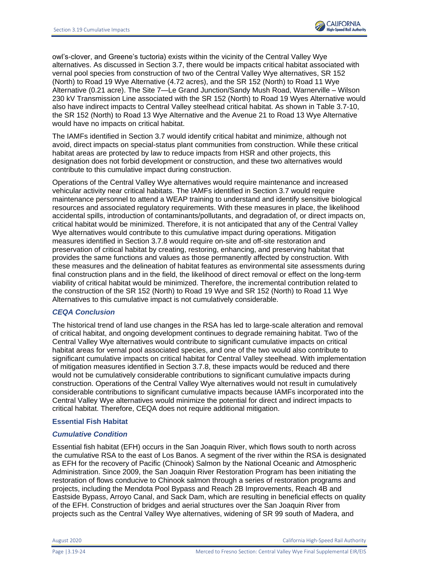owl's-clover, and Greene's tuctoria) exists within the vicinity of the Central Valley Wye alternatives. As discussed in Section 3.7, there would be impacts critical habitat associated with vernal pool species from construction of two of the Central Valley Wye alternatives, SR 152 (North) to Road 19 Wye Alternative (4.72 acres), and the SR 152 (North) to Road 11 Wye Alternative (0.21 acre). The Site 7—Le Grand Junction/Sandy Mush Road, Warnerville – Wilson 230 kV Transmission Line associated with the SR 152 (North) to Road 19 Wyes Alternative would also have indirect impacts to Central Valley steelhead critical habitat. As shown in Table 3.7-10, the SR 152 (North) to Road 13 Wye Alternative and the Avenue 21 to Road 13 Wye Alternative would have no impacts on critical habitat.

The IAMFs identified in Section 3.7 would identify critical habitat and minimize, although not avoid, direct impacts on special-status plant communities from construction. While these critical habitat areas are protected by law to reduce impacts from HSR and other projects, this designation does not forbid development or construction, and these two alternatives would contribute to this cumulative impact during construction.

Operations of the Central Valley Wye alternatives would require maintenance and increased vehicular activity near critical habitats. The IAMFs identified in Section 3.7 would require maintenance personnel to attend a WEAP training to understand and identify sensitive biological resources and associated regulatory requirements. With these measures in place, the likelihood accidental spills, introduction of contaminants/pollutants, and degradation of, or direct impacts on, critical habitat would be minimized. Therefore, it is not anticipated that any of the Central Valley Wye alternatives would contribute to this cumulative impact during operations. Mitigation measures identified in Section 3.7.8 would require on-site and off-site restoration and preservation of critical habitat by creating, restoring, enhancing, and preserving habitat that provides the same functions and values as those permanently affected by construction. With these measures and the delineation of habitat features as environmental site assessments during final construction plans and in the field, the likelihood of direct removal or effect on the long-term viability of critical habitat would be minimized. Therefore, the incremental contribution related to the construction of the SR 152 (North) to Road 19 Wye and SR 152 (North) to Road 11 Wye Alternatives to this cumulative impact is not cumulatively considerable.

## *CEQA Conclusion*

The historical trend of land use changes in the RSA has led to large-scale alteration and removal of critical habitat, and ongoing development continues to degrade remaining habitat. Two of the Central Valley Wye alternatives would contribute to significant cumulative impacts on critical habitat areas for vernal pool associated species, and one of the two would also contribute to significant cumulative impacts on critical habitat for Central Valley steelhead. With implementation of mitigation measures identified in Section 3.7.8, these impacts would be reduced and there would not be cumulatively considerable contributions to significant cumulative impacts during construction. Operations of the Central Valley Wye alternatives would not result in cumulatively considerable contributions to significant cumulative impacts because IAMFs incorporated into the Central Valley Wye alternatives would minimize the potential for direct and indirect impacts to critical habitat. Therefore, CEQA does not require additional mitigation.

#### **Essential Fish Habitat**

## *Cumulative Condition*

Essential fish habitat (EFH) occurs in the San Joaquin River, which flows south to north across the cumulative RSA to the east of Los Banos. A segment of the river within the RSA is designated as EFH for the recovery of Pacific (Chinook) Salmon by the National Oceanic and Atmospheric Administration. Since 2009, the San Joaquin River Restoration Program has been initiating the restoration of flows conducive to Chinook salmon through a series of restoration programs and projects, including the Mendota Pool Bypass and Reach 2B Improvements, Reach 4B and Eastside Bypass, Arroyo Canal, and Sack Dam, which are resulting in beneficial effects on quality of the EFH. Construction of bridges and aerial structures over the San Joaquin River from projects such as the Central Valley Wye alternatives, widening of SR 99 south of Madera, and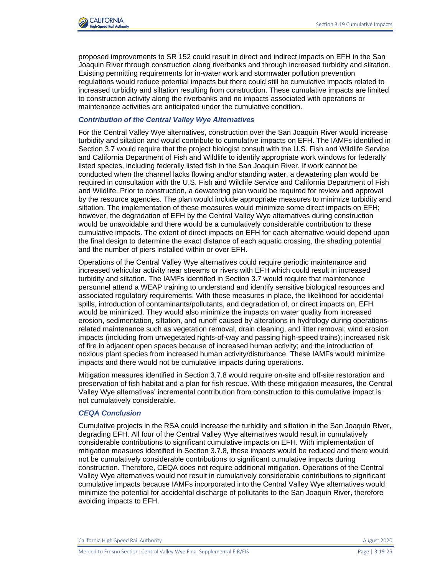

proposed improvements to SR 152 could result in direct and indirect impacts on EFH in the San Joaquin River through construction along riverbanks and through increased turbidity and siltation. Existing permitting requirements for in-water work and stormwater pollution prevention regulations would reduce potential impacts but there could still be cumulative impacts related to increased turbidity and siltation resulting from construction. These cumulative impacts are limited to construction activity along the riverbanks and no impacts associated with operations or maintenance activities are anticipated under the cumulative condition.

## *Contribution of the Central Valley Wye Alternatives*

For the Central Valley Wye alternatives, construction over the San Joaquin River would increase turbidity and siltation and would contribute to cumulative impacts on EFH. The IAMFs identified in Section 3.7 would require that the project biologist consult with the U.S. Fish and Wildlife Service and California Department of Fish and Wildlife to identify appropriate work windows for federally listed species, including federally listed fish in the San Joaquin River. If work cannot be conducted when the channel lacks flowing and/or standing water, a dewatering plan would be required in consultation with the U.S. Fish and Wildlife Service and California Department of Fish and Wildlife. Prior to construction, a dewatering plan would be required for review and approval by the resource agencies. The plan would include appropriate measures to minimize turbidity and siltation. The implementation of these measures would minimize some direct impacts on EFH; however, the degradation of EFH by the Central Valley Wye alternatives during construction would be unavoidable and there would be a cumulatively considerable contribution to these cumulative impacts. The extent of direct impacts on EFH for each alternative would depend upon the final design to determine the exact distance of each aquatic crossing, the shading potential and the number of piers installed within or over EFH.

Operations of the Central Valley Wye alternatives could require periodic maintenance and increased vehicular activity near streams or rivers with EFH which could result in increased turbidity and siltation. The IAMFs identified in Section 3.7 would require that maintenance personnel attend a WEAP training to understand and identify sensitive biological resources and associated regulatory requirements. With these measures in place, the likelihood for accidental spills, introduction of contaminants/pollutants, and degradation of, or direct impacts on, EFH would be minimized. They would also minimize the impacts on water quality from increased erosion, sedimentation, siltation, and runoff caused by alterations in hydrology during operationsrelated maintenance such as vegetation removal, drain cleaning, and litter removal; wind erosion impacts (including from unvegetated rights-of-way and passing high-speed trains); increased risk of fire in adjacent open spaces because of increased human activity; and the introduction of noxious plant species from increased human activity/disturbance. These IAMFs would minimize impacts and there would not be cumulative impacts during operations.

Mitigation measures identified in Section 3.7.8 would require on-site and off-site restoration and preservation of fish habitat and a plan for fish rescue. With these mitigation measures, the Central Valley Wye alternatives' incremental contribution from construction to this cumulative impact is not cumulatively considerable.

#### *CEQA Conclusion*

Cumulative projects in the RSA could increase the turbidity and siltation in the San Joaquin River, degrading EFH. All four of the Central Valley Wye alternatives would result in cumulatively considerable contributions to significant cumulative impacts on EFH. With implementation of mitigation measures identified in Section 3.7.8, these impacts would be reduced and there would not be cumulatively considerable contributions to significant cumulative impacts during construction. Therefore, CEQA does not require additional mitigation. Operations of the Central Valley Wye alternatives would not result in cumulatively considerable contributions to significant cumulative impacts because IAMFs incorporated into the Central Valley Wye alternatives would minimize the potential for accidental discharge of pollutants to the San Joaquin River, therefore avoiding impacts to EFH.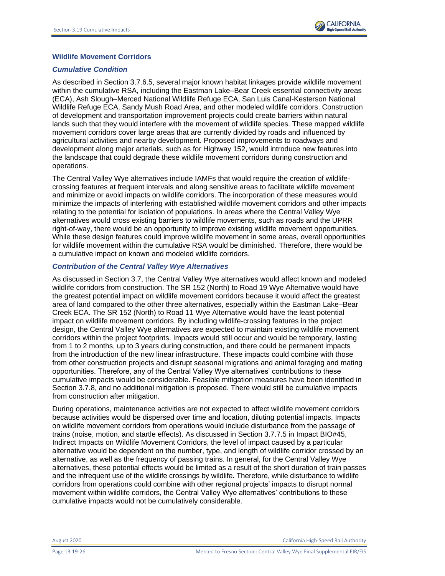

## **Wildlife Movement Corridors**

#### *Cumulative Condition*

As described in Section 3.7.6.5, several major known habitat linkages provide wildlife movement within the cumulative RSA, including the Eastman Lake–Bear Creek essential connectivity areas (ECA), Ash Slough–Merced National Wildlife Refuge ECA, San Luis Canal-Kesterson National Wildlife Refuge ECA, Sandy Mush Road Area, and other modeled wildlife corridors. Construction of development and transportation improvement projects could create barriers within natural lands such that they would interfere with the movement of wildlife species. These mapped wildlife movement corridors cover large areas that are currently divided by roads and influenced by agricultural activities and nearby development. Proposed improvements to roadways and development along major arterials, such as for Highway 152, would introduce new features into the landscape that could degrade these wildlife movement corridors during construction and operations.

The Central Valley Wye alternatives include IAMFs that would require the creation of wildlifecrossing features at frequent intervals and along sensitive areas to facilitate wildlife movement and minimize or avoid impacts on wildlife corridors. The incorporation of these measures would minimize the impacts of interfering with established wildlife movement corridors and other impacts relating to the potential for isolation of populations. In areas where the Central Valley Wye alternatives would cross existing barriers to wildlife movements, such as roads and the UPRR right-of-way, there would be an opportunity to improve existing wildlife movement opportunities. While these design features could improve wildlife movement in some areas, overall opportunities for wildlife movement within the cumulative RSA would be diminished. Therefore, there would be a cumulative impact on known and modeled wildlife corridors.

#### *Contribution of the Central Valley Wye Alternatives*

As discussed in Section 3.7, the Central Valley Wye alternatives would affect known and modeled wildlife corridors from construction. The SR 152 (North) to Road 19 Wye Alternative would have the greatest potential impact on wildlife movement corridors because it would affect the greatest area of land compared to the other three alternatives, especially within the Eastman Lake–Bear Creek ECA. The SR 152 (North) to Road 11 Wye Alternative would have the least potential impact on wildlife movement corridors. By including wildlife-crossing features in the project design, the Central Valley Wye alternatives are expected to maintain existing wildlife movement corridors within the project footprints. Impacts would still occur and would be temporary, lasting from 1 to 2 months, up to 3 years during construction, and there could be permanent impacts from the introduction of the new linear infrastructure. These impacts could combine with those from other construction projects and disrupt seasonal migrations and animal foraging and mating opportunities. Therefore, any of the Central Valley Wye alternatives' contributions to these cumulative impacts would be considerable. Feasible mitigation measures have been identified in Section 3.7.8, and no additional mitigation is proposed. There would still be cumulative impacts from construction after mitigation.

During operations, maintenance activities are not expected to affect wildlife movement corridors because activities would be dispersed over time and location, diluting potential impacts. Impacts on wildlife movement corridors from operations would include disturbance from the passage of trains (noise, motion, and startle effects). As discussed in Section 3.7.7.5 in Impact BIO#45, Indirect Impacts on Wildlife Movement Corridors, the level of impact caused by a particular alternative would be dependent on the number, type, and length of wildlife corridor crossed by an alternative, as well as the frequency of passing trains. In general, for the Central Valley Wye alternatives, these potential effects would be limited as a result of the short duration of train passes and the infrequent use of the wildlife crossings by wildlife. Therefore, while disturbance to wildlife corridors from operations could combine with other regional projects' impacts to disrupt normal movement within wildlife corridors, the Central Valley Wye alternatives' contributions to these cumulative impacts would not be cumulatively considerable.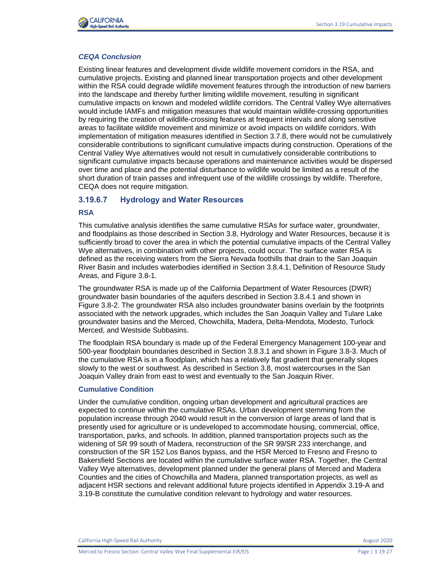



## *CEQA Conclusion*

Existing linear features and development divide wildlife movement corridors in the RSA, and cumulative projects. Existing and planned linear transportation projects and other development within the RSA could degrade wildlife movement features through the introduction of new barriers into the landscape and thereby further limiting wildlife movement, resulting in significant cumulative impacts on known and modeled wildlife corridors. The Central Valley Wye alternatives would include IAMFs and mitigation measures that would maintain wildlife-crossing opportunities by requiring the creation of wildlife-crossing features at frequent intervals and along sensitive areas to facilitate wildlife movement and minimize or avoid impacts on wildlife corridors. With implementation of mitigation measures identified in Section 3.7.8, there would not be cumulatively considerable contributions to significant cumulative impacts during construction. Operations of the Central Valley Wye alternatives would not result in cumulatively considerable contributions to significant cumulative impacts because operations and maintenance activities would be dispersed over time and place and the potential disturbance to wildlife would be limited as a result of the short duration of train passes and infrequent use of the wildlife crossings by wildlife. Therefore, CEQA does not require mitigation.

## **3.19.6.7 Hydrology and Water Resources**

## **RSA**

This cumulative analysis identifies the same cumulative RSAs for surface water, groundwater, and floodplains as those described in Section 3.8, Hydrology and Water Resources, because it is sufficiently broad to cover the area in which the potential cumulative impacts of the Central Valley Wye alternatives, in combination with other projects, could occur. The surface water RSA is defined as the receiving waters from the Sierra Nevada foothills that drain to the San Joaquin River Basin and includes waterbodies identified in Section 3.8.4.1, Definition of Resource Study Areas, and Figure 3.8-1.

The groundwater RSA is made up of the California Department of Water Resources (DWR) groundwater basin boundaries of the aquifers described in Section 3.8.4.1 and shown in Figure 3.8-2. The groundwater RSA also includes groundwater basins overlain by the footprints associated with the network upgrades, which includes the San Joaquin Valley and Tulare Lake groundwater basins and the Merced, Chowchilla, Madera, Delta-Mendota, Modesto, Turlock Merced, and Westside Subbasins.

The floodplain RSA boundary is made up of the Federal Emergency Management 100-year and 500-year floodplain boundaries described in Section 3.8.3.1 and shown in Figure 3.8-3. Much of the cumulative RSA is in a floodplain, which has a relatively flat gradient that generally slopes slowly to the west or southwest. As described in Section 3.8, most watercourses in the San Joaquin Valley drain from east to west and eventually to the San Joaquin River.

#### **Cumulative Condition**

Under the cumulative condition, ongoing urban development and agricultural practices are expected to continue within the cumulative RSAs. Urban development stemming from the population increase through 2040 would result in the conversion of large areas of land that is presently used for agriculture or is undeveloped to accommodate housing, commercial, office, transportation, parks, and schools. In addition, planned transportation projects such as the widening of SR 99 south of Madera, reconstruction of the SR 99/SR 233 interchange, and construction of the SR 152 Los Banos bypass, and the HSR Merced to Fresno and Fresno to Bakersfield Sections are located within the cumulative surface water RSA. Together, the Central Valley Wye alternatives, development planned under the general plans of Merced and Madera Counties and the cities of Chowchilla and Madera, planned transportation projects, as well as adjacent HSR sections and relevant additional future projects identified in Appendix 3.19-A and 3.19-B constitute the cumulative condition relevant to hydrology and water resources.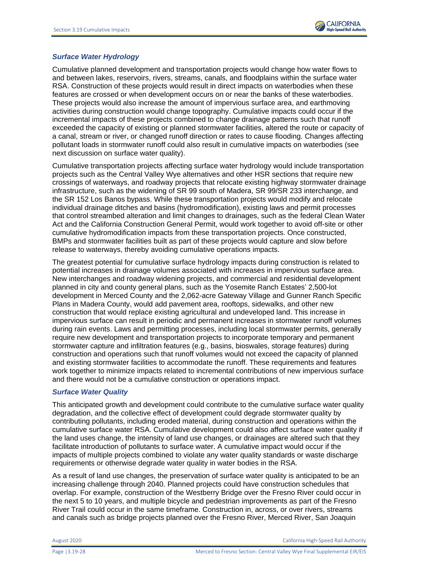## *Surface Water Hydrology*

Cumulative planned development and transportation projects would change how water flows to and between lakes, reservoirs, rivers, streams, canals, and floodplains within the surface water RSA. Construction of these projects would result in direct impacts on waterbodies when these features are crossed or when development occurs on or near the banks of these waterbodies. These projects would also increase the amount of impervious surface area, and earthmoving activities during construction would change topography. Cumulative impacts could occur if the incremental impacts of these projects combined to change drainage patterns such that runoff exceeded the capacity of existing or planned stormwater facilities, altered the route or capacity of a canal, stream or river, or changed runoff direction or rates to cause flooding. Changes affecting pollutant loads in stormwater runoff could also result in cumulative impacts on waterbodies (see next discussion on surface water quality).

Cumulative transportation projects affecting surface water hydrology would include transportation projects such as the Central Valley Wye alternatives and other HSR sections that require new crossings of waterways, and roadway projects that relocate existing highway stormwater drainage infrastructure, such as the widening of SR 99 south of Madera, SR 99/SR 233 interchange, and the SR 152 Los Banos bypass. While these transportation projects would modify and relocate individual drainage ditches and basins (hydromodification), existing laws and permit processes that control streambed alteration and limit changes to drainages, such as the federal Clean Water Act and the California Construction General Permit, would work together to avoid off-site or other cumulative hydromodification impacts from these transportation projects. Once constructed, BMPs and stormwater facilities built as part of these projects would capture and slow before release to waterways, thereby avoiding cumulative operations impacts.

The greatest potential for cumulative surface hydrology impacts during construction is related to potential increases in drainage volumes associated with increases in impervious surface area. New interchanges and roadway widening projects, and commercial and residential development planned in city and county general plans, such as the Yosemite Ranch Estates' 2,500-lot development in Merced County and the 2,062-acre Gateway Village and Gunner Ranch Specific Plans in Madera County, would add pavement area, rooftops, sidewalks, and other new construction that would replace existing agricultural and undeveloped land. This increase in impervious surface can result in periodic and permanent increases in stormwater runoff volumes during rain events. Laws and permitting processes, including local stormwater permits, generally require new development and transportation projects to incorporate temporary and permanent stormwater capture and infiltration features (e.g., basins, bioswales, storage features) during construction and operations such that runoff volumes would not exceed the capacity of planned and existing stormwater facilities to accommodate the runoff. These requirements and features work together to minimize impacts related to incremental contributions of new impervious surface and there would not be a cumulative construction or operations impact.

## *Surface Water Quality*

This anticipated growth and development could contribute to the cumulative surface water quality degradation, and the collective effect of development could degrade stormwater quality by contributing pollutants, including eroded material, during construction and operations within the cumulative surface water RSA. Cumulative development could also affect surface water quality if the land uses change, the intensity of land use changes, or drainages are altered such that they facilitate introduction of pollutants to surface water. A cumulative impact would occur if the impacts of multiple projects combined to violate any water quality standards or waste discharge requirements or otherwise degrade water quality in water bodies in the RSA.

As a result of land use changes, the preservation of surface water quality is anticipated to be an increasing challenge through 2040. Planned projects could have construction schedules that overlap. For example, construction of the Westberry Bridge over the Fresno River could occur in the next 5 to 10 years, and multiple bicycle and pedestrian improvements as part of the Fresno River Trail could occur in the same timeframe. Construction in, across, or over rivers, streams and canals such as bridge projects planned over the Fresno River, Merced River, San Joaquin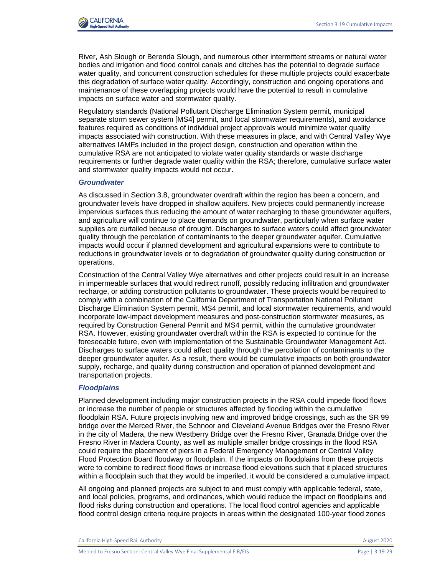

River, Ash Slough or Berenda Slough, and numerous other intermittent streams or natural water bodies and irrigation and flood control canals and ditches has the potential to degrade surface water quality, and concurrent construction schedules for these multiple projects could exacerbate this degradation of surface water quality. Accordingly, construction and ongoing operations and maintenance of these overlapping projects would have the potential to result in cumulative impacts on surface water and stormwater quality.

Regulatory standards (National Pollutant Discharge Elimination System permit, municipal separate storm sewer system [MS4] permit, and local stormwater requirements), and avoidance features required as conditions of individual project approvals would minimize water quality impacts associated with construction. With these measures in place, and with Central Valley Wye alternatives IAMFs included in the project design, construction and operation within the cumulative RSA are not anticipated to violate water quality standards or waste discharge requirements or further degrade water quality within the RSA; therefore, cumulative surface water and stormwater quality impacts would not occur.

### *Groundwater*

As discussed in Section 3.8, groundwater overdraft within the region has been a concern, and groundwater levels have dropped in shallow aquifers. New projects could permanently increase impervious surfaces thus reducing the amount of water recharging to these groundwater aquifers, and agriculture will continue to place demands on groundwater, particularly when surface water supplies are curtailed because of drought. Discharges to surface waters could affect groundwater quality through the percolation of contaminants to the deeper groundwater aquifer. Cumulative impacts would occur if planned development and agricultural expansions were to contribute to reductions in groundwater levels or to degradation of groundwater quality during construction or operations.

Construction of the Central Valley Wye alternatives and other projects could result in an increase in impermeable surfaces that would redirect runoff, possibly reducing infiltration and groundwater recharge, or adding construction pollutants to groundwater. These projects would be required to comply with a combination of the California Department of Transportation National Pollutant Discharge Elimination System permit, MS4 permit, and local stormwater requirements, and would incorporate low-impact development measures and post-construction stormwater measures, as required by Construction General Permit and MS4 permit, within the cumulative groundwater RSA. However, existing groundwater overdraft within the RSA is expected to continue for the foreseeable future, even with implementation of the Sustainable Groundwater Management Act. Discharges to surface waters could affect quality through the percolation of contaminants to the deeper groundwater aquifer. As a result, there would be cumulative impacts on both groundwater supply, recharge, and quality during construction and operation of planned development and transportation projects.

#### *Floodplains*

Planned development including major construction projects in the RSA could impede flood flows or increase the number of people or structures affected by flooding within the cumulative floodplain RSA. Future projects involving new and improved bridge crossings, such as the SR 99 bridge over the Merced River, the Schnoor and Cleveland Avenue Bridges over the Fresno River in the city of Madera, the new Westberry Bridge over the Fresno River, Granada Bridge over the Fresno River in Madera County, as well as multiple smaller bridge crossings in the flood RSA could require the placement of piers in a Federal Emergency Management or Central Valley Flood Protection Board floodway or floodplain. If the impacts on floodplains from these projects were to combine to redirect flood flows or increase flood elevations such that it placed structures within a floodplain such that they would be imperiled, it would be considered a cumulative impact.

All ongoing and planned projects are subject to and must comply with applicable federal, state, and local policies, programs, and ordinances, which would reduce the impact on floodplains and flood risks during construction and operations. The local flood control agencies and applicable flood control design criteria require projects in areas within the designated 100-year flood zones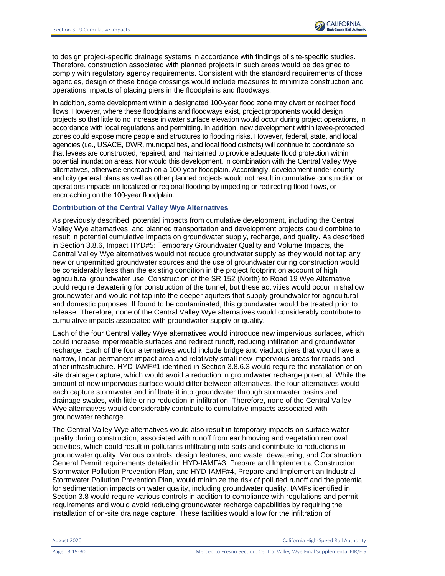

to design project-specific drainage systems in accordance with findings of site-specific studies. Therefore, construction associated with planned projects in such areas would be designed to comply with regulatory agency requirements. Consistent with the standard requirements of those agencies, design of these bridge crossings would include measures to minimize construction and operations impacts of placing piers in the floodplains and floodways.

In addition, some development within a designated 100-year flood zone may divert or redirect flood flows. However, where these floodplains and floodways exist, project proponents would design projects so that little to no increase in water surface elevation would occur during project operations, in accordance with local regulations and permitting. In addition, new development within levee-protected zones could expose more people and structures to flooding risks. However, federal, state, and local agencies (i.e., USACE, DWR, municipalities, and local flood districts) will continue to coordinate so that levees are constructed, repaired, and maintained to provide adequate flood protection within potential inundation areas. Nor would this development, in combination with the Central Valley Wye alternatives, otherwise encroach on a 100-year floodplain. Accordingly, development under county and city general plans as well as other planned projects would not result in cumulative construction or operations impacts on localized or regional flooding by impeding or redirecting flood flows, or encroaching on the 100-year floodplain.

### **Contribution of the Central Valley Wye Alternatives**

As previously described, potential impacts from cumulative development, including the Central Valley Wye alternatives, and planned transportation and development projects could combine to result in potential cumulative impacts on groundwater supply, recharge, and quality. As described in Section 3.8.6, Impact HYD#5: Temporary Groundwater Quality and Volume Impacts, the Central Valley Wye alternatives would not reduce groundwater supply as they would not tap any new or unpermitted groundwater sources and the use of groundwater during construction would be considerably less than the existing condition in the project footprint on account of high agricultural groundwater use. Construction of the SR 152 (North) to Road 19 Wye Alternative could require dewatering for construction of the tunnel, but these activities would occur in shallow groundwater and would not tap into the deeper aquifers that supply groundwater for agricultural and domestic purposes. If found to be contaminated, this groundwater would be treated prior to release. Therefore, none of the Central Valley Wye alternatives would considerably contribute to cumulative impacts associated with groundwater supply or quality.

Each of the four Central Valley Wye alternatives would introduce new impervious surfaces, which could increase impermeable surfaces and redirect runoff, reducing infiltration and groundwater recharge. Each of the four alternatives would include bridge and viaduct piers that would have a narrow, linear permanent impact area and relatively small new impervious areas for roads and other infrastructure. HYD-IAMF#1 identified in Section 3.8.6.3 would require the installation of onsite drainage capture, which would avoid a reduction in groundwater recharge potential. While the amount of new impervious surface would differ between alternatives, the four alternatives would each capture stormwater and infiltrate it into groundwater through stormwater basins and drainage swales, with little or no reduction in infiltration. Therefore, none of the Central Valley Wye alternatives would considerably contribute to cumulative impacts associated with groundwater recharge.

The Central Valley Wye alternatives would also result in temporary impacts on surface water quality during construction, associated with runoff from earthmoving and vegetation removal activities, which could result in pollutants infiltrating into soils and contribute to reductions in groundwater quality. Various controls, design features, and waste, dewatering, and Construction General Permit requirements detailed in HYD-IAMF#3, Prepare and Implement a Construction Stormwater Pollution Prevention Plan, and HYD-IAMF#4, Prepare and Implement an Industrial Stormwater Pollution Prevention Plan, would minimize the risk of polluted runoff and the potential for sedimentation impacts on water quality, including groundwater quality. IAMFs identified in Section 3.8 would require various controls in addition to compliance with regulations and permit requirements and would avoid reducing groundwater recharge capabilities by requiring the installation of on-site drainage capture. These facilities would allow for the infiltration of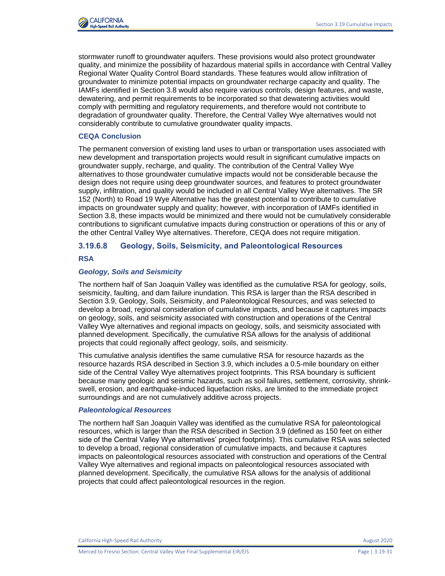

stormwater runoff to groundwater aquifers. These provisions would also protect groundwater quality, and minimize the possibility of hazardous material spills in accordance with Central Valley Regional Water Quality Control Board standards. These features would allow infiltration of groundwater to minimize potential impacts on groundwater recharge capacity and quality. The IAMFs identified in Section 3.8 would also require various controls, design features, and waste, dewatering, and permit requirements to be incorporated so that dewatering activities would comply with permitting and regulatory requirements, and therefore would not contribute to degradation of groundwater quality. Therefore, the Central Valley Wye alternatives would not considerably contribute to cumulative groundwater quality impacts.

## **CEQA Conclusion**

The permanent conversion of existing land uses to urban or transportation uses associated with new development and transportation projects would result in significant cumulative impacts on groundwater supply, recharge, and quality. The contribution of the Central Valley Wye alternatives to those groundwater cumulative impacts would not be considerable because the design does not require using deep groundwater sources, and features to protect groundwater supply, infiltration, and quality would be included in all Central Valley Wye alternatives. The SR 152 (North) to Road 19 Wye Alternative has the greatest potential to contribute to cumulative impacts on groundwater supply and quality; however, with incorporation of IAMFs identified in Section 3.8, these impacts would be minimized and there would not be cumulatively considerable contributions to significant cumulative impacts during construction or operations of this or any of the other Central Valley Wye alternatives. Therefore, CEQA does not require mitigation.

# **3.19.6.8 Geology, Soils, Seismicity, and Paleontological Resources**

## **RSA**

## *Geology, Soils and Seismicity*

The northern half of San Joaquin Valley was identified as the cumulative RSA for geology, soils, seismicity, faulting, and dam failure inundation. This RSA is larger than the RSA described in Section 3.9, Geology, Soils, Seismicity, and Paleontological Resources, and was selected to develop a broad, regional consideration of cumulative impacts, and because it captures impacts on geology, soils, and seismicity associated with construction and operations of the Central Valley Wye alternatives and regional impacts on geology, soils, and seismicity associated with planned development. Specifically, the cumulative RSA allows for the analysis of additional projects that could regionally affect geology, soils, and seismicity.

This cumulative analysis identifies the same cumulative RSA for resource hazards as the resource hazards RSA described in Section 3.9, which includes a 0.5-mile boundary on either side of the Central Valley Wye alternatives project footprints. This RSA boundary is sufficient because many geologic and seismic hazards, such as soil failures, settlement, corrosivity, shrinkswell, erosion, and earthquake-induced liquefaction risks, are limited to the immediate project surroundings and are not cumulatively additive across projects.

#### *Paleontological Resources*

The northern half San Joaquin Valley was identified as the cumulative RSA for paleontological resources, which is larger than the RSA described in Section 3.9 (defined as 150 feet on either side of the Central Valley Wye alternatives' project footprints). This cumulative RSA was selected to develop a broad, regional consideration of cumulative impacts, and because it captures impacts on paleontological resources associated with construction and operations of the Central Valley Wye alternatives and regional impacts on paleontological resources associated with planned development. Specifically, the cumulative RSA allows for the analysis of additional projects that could affect paleontological resources in the region.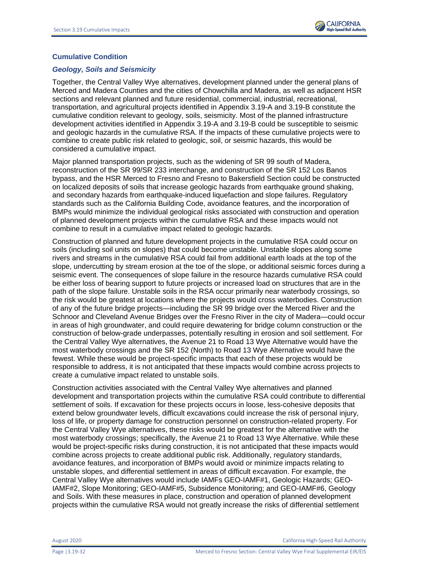

### **Cumulative Condition**

## *Geology, Soils and Seismicity*

Together, the Central Valley Wye alternatives, development planned under the general plans of Merced and Madera Counties and the cities of Chowchilla and Madera, as well as adjacent HSR sections and relevant planned and future residential, commercial, industrial, recreational, transportation, and agricultural projects identified in Appendix 3.19-A and 3.19-B constitute the cumulative condition relevant to geology, soils, seismicity. Most of the planned infrastructure development activities identified in Appendix 3.19-A and 3.19-B could be susceptible to seismic and geologic hazards in the cumulative RSA. If the impacts of these cumulative projects were to combine to create public risk related to geologic, soil, or seismic hazards, this would be considered a cumulative impact.

Major planned transportation projects, such as the widening of SR 99 south of Madera, reconstruction of the SR 99/SR 233 interchange, and construction of the SR 152 Los Banos bypass, and the HSR Merced to Fresno and Fresno to Bakersfield Section could be constructed on localized deposits of soils that increase geologic hazards from earthquake ground shaking, and secondary hazards from earthquake-induced liquefaction and slope failures. Regulatory standards such as the California Building Code, avoidance features, and the incorporation of BMPs would minimize the individual geological risks associated with construction and operation of planned development projects within the cumulative RSA and these impacts would not combine to result in a cumulative impact related to geologic hazards.

Construction of planned and future development projects in the cumulative RSA could occur on soils (including soil units on slopes) that could become unstable. Unstable slopes along some rivers and streams in the cumulative RSA could fail from additional earth loads at the top of the slope, undercutting by stream erosion at the toe of the slope, or additional seismic forces during a seismic event. The consequences of slope failure in the resource hazards cumulative RSA could be either loss of bearing support to future projects or increased load on structures that are in the path of the slope failure. Unstable soils in the RSA occur primarily near waterbody crossings, so the risk would be greatest at locations where the projects would cross waterbodies. Construction of any of the future bridge projects—including the SR 99 bridge over the Merced River and the Schnoor and Cleveland Avenue Bridges over the Fresno River in the city of Madera—could occur in areas of high groundwater, and could require dewatering for bridge column construction or the construction of below-grade underpasses, potentially resulting in erosion and soil settlement. For the Central Valley Wye alternatives, the Avenue 21 to Road 13 Wye Alternative would have the most waterbody crossings and the SR 152 (North) to Road 13 Wye Alternative would have the fewest. While these would be project-specific impacts that each of these projects would be responsible to address, it is not anticipated that these impacts would combine across projects to create a cumulative impact related to unstable soils.

Construction activities associated with the Central Valley Wye alternatives and planned development and transportation projects within the cumulative RSA could contribute to differential settlement of soils. If excavation for these projects occurs in loose, less-cohesive deposits that extend below groundwater levels, difficult excavations could increase the risk of personal injury, loss of life, or property damage for construction personnel on construction-related property. For the Central Valley Wye alternatives, these risks would be greatest for the alternative with the most waterbody crossings; specifically, the Avenue 21 to Road 13 Wye Alternative. While these would be project-specific risks during construction, it is not anticipated that these impacts would combine across projects to create additional public risk. Additionally, regulatory standards, avoidance features, and incorporation of BMPs would avoid or minimize impacts relating to unstable slopes, and differential settlement in areas of difficult excavation. For example, the Central Valley Wye alternatives would include IAMFs GEO-IAMF#1, Geologic Hazards; GEO-IAMF#2, Slope Monitoring; GEO-IAMF#5, Subsidence Monitoring; and GEO-IAMF#6, Geology and Soils. With these measures in place, construction and operation of planned development projects within the cumulative RSA would not greatly increase the risks of differential settlement

August 2020 California High-Speed Rail Authority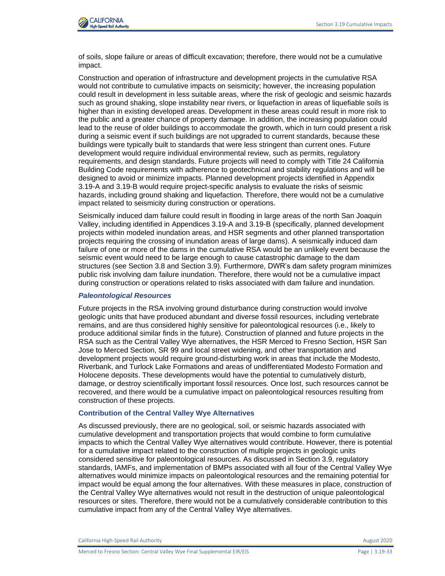

of soils, slope failure or areas of difficult excavation; therefore, there would not be a cumulative impact.

Construction and operation of infrastructure and development projects in the cumulative RSA would not contribute to cumulative impacts on seismicity; however, the increasing population could result in development in less suitable areas, where the risk of geologic and seismic hazards such as ground shaking, slope instability near rivers, or liquefaction in areas of liquefiable soils is higher than in existing developed areas. Development in these areas could result in more risk to the public and a greater chance of property damage. In addition, the increasing population could lead to the reuse of older buildings to accommodate the growth, which in turn could present a risk during a seismic event if such buildings are not upgraded to current standards, because these buildings were typically built to standards that were less stringent than current ones. Future development would require individual environmental review, such as permits, regulatory requirements, and design standards. Future projects will need to comply with Title 24 California Building Code requirements with adherence to geotechnical and stability regulations and will be designed to avoid or minimize impacts. Planned development projects identified in Appendix 3.19-A and 3.19-B would require project-specific analysis to evaluate the risks of seismic hazards, including ground shaking and liquefaction. Therefore, there would not be a cumulative impact related to seismicity during construction or operations.

Seismically induced dam failure could result in flooding in large areas of the north San Joaquin Valley, including identified in Appendices 3.19-A and 3.19-B (specifically, planned development projects within modeled inundation areas, and HSR segments and other planned transportation projects requiring the crossing of inundation areas of large dams). A seismically induced dam failure of one or more of the dams in the cumulative RSA would be an unlikely event because the seismic event would need to be large enough to cause catastrophic damage to the dam structures (see Section 3.8 and Section 3.9). Furthermore, DWR's dam safety program minimizes public risk involving dam failure inundation. Therefore, there would not be a cumulative impact during construction or operations related to risks associated with dam failure and inundation.

### *Paleontological Resources*

Future projects in the RSA involving ground disturbance during construction would involve geologic units that have produced abundant and diverse fossil resources, including vertebrate remains, and are thus considered highly sensitive for paleontological resources (i.e., likely to produce additional similar finds in the future). Construction of planned and future projects in the RSA such as the Central Valley Wye alternatives, the HSR Merced to Fresno Section, HSR San Jose to Merced Section, SR 99 and local street widening, and other transportation and development projects would require ground-disturbing work in areas that include the Modesto, Riverbank, and Turlock Lake Formations and areas of undifferentiated Modesto Formation and Holocene deposits. These developments would have the potential to cumulatively disturb, damage, or destroy scientifically important fossil resources. Once lost, such resources cannot be recovered, and there would be a cumulative impact on paleontological resources resulting from construction of these projects.

#### **Contribution of the Central Valley Wye Alternatives**

As discussed previously, there are no geological, soil, or seismic hazards associated with cumulative development and transportation projects that would combine to form cumulative impacts to which the Central Valley Wye alternatives would contribute. However, there is potential for a cumulative impact related to the construction of multiple projects in geologic units considered sensitive for paleontological resources. As discussed in Section 3.9, regulatory standards, IAMFs, and implementation of BMPs associated with all four of the Central Valley Wye alternatives would minimize impacts on paleontological resources and the remaining potential for impact would be equal among the four alternatives. With these measures in place, construction of the Central Valley Wye alternatives would not result in the destruction of unique paleontological resources or sites. Therefore, there would not be a cumulatively considerable contribution to this cumulative impact from any of the Central Valley Wye alternatives.

California High-Speed Rail Authority **August 2020 August 2020** 

Merced to Fresno Section: Central Valley Wye Final Supplemental EIR/EIS Page | 3.19-33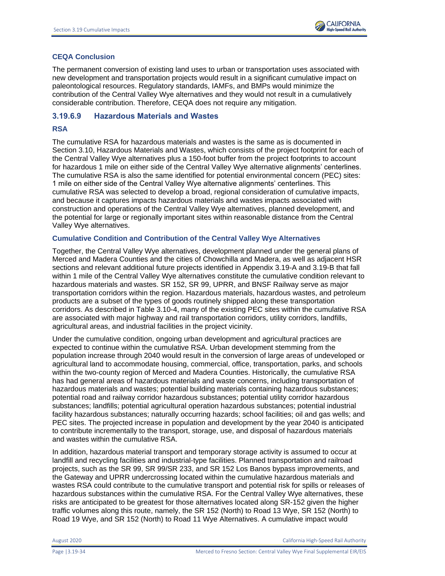## **CEQA Conclusion**

The permanent conversion of existing land uses to urban or transportation uses associated with new development and transportation projects would result in a significant cumulative impact on paleontological resources. Regulatory standards, IAMFs, and BMPs would minimize the contribution of the Central Valley Wye alternatives and they would not result in a cumulatively considerable contribution. Therefore, CEQA does not require any mitigation.

## **3.19.6.9 Hazardous Materials and Wastes**

### **RSA**

The cumulative RSA for hazardous materials and wastes is the same as is documented in Section 3.10, Hazardous Materials and Wastes, which consists of the project footprint for each of the Central Valley Wye alternatives plus a 150-foot buffer from the project footprints to account for hazardous 1 mile on either side of the Central Valley Wye alternative alignments' centerlines. The cumulative RSA is also the same identified for potential environmental concern (PEC) sites: 1 mile on either side of the Central Valley Wye alternative alignments' centerlines. This cumulative RSA was selected to develop a broad, regional consideration of cumulative impacts, and because it captures impacts hazardous materials and wastes impacts associated with construction and operations of the Central Valley Wye alternatives, planned development, and the potential for large or regionally important sites within reasonable distance from the Central Valley Wye alternatives.

## **Cumulative Condition and Contribution of the Central Valley Wye Alternatives**

Together, the Central Valley Wye alternatives, development planned under the general plans of Merced and Madera Counties and the cities of Chowchilla and Madera, as well as adjacent HSR sections and relevant additional future projects identified in Appendix 3.19-A and 3.19-B that fall within 1 mile of the Central Valley Wye alternatives constitute the cumulative condition relevant to hazardous materials and wastes. SR 152, SR 99, UPRR, and BNSF Railway serve as major transportation corridors within the region. Hazardous materials, hazardous wastes, and petroleum products are a subset of the types of goods routinely shipped along these transportation corridors. As described in Table 3.10-4, many of the existing PEC sites within the cumulative RSA are associated with major highway and rail transportation corridors, utility corridors, landfills, agricultural areas, and industrial facilities in the project vicinity.

Under the cumulative condition, ongoing urban development and agricultural practices are expected to continue within the cumulative RSA. Urban development stemming from the population increase through 2040 would result in the conversion of large areas of undeveloped or agricultural land to accommodate housing, commercial, office, transportation, parks, and schools within the two-county region of Merced and Madera Counties. Historically, the cumulative RSA has had general areas of hazardous materials and waste concerns, including transportation of hazardous materials and wastes; potential building materials containing hazardous substances; potential road and railway corridor hazardous substances; potential utility corridor hazardous substances; landfills; potential agricultural operation hazardous substances; potential industrial facility hazardous substances; naturally occurring hazards; school facilities; oil and gas wells; and PEC sites. The projected increase in population and development by the year 2040 is anticipated to contribute incrementally to the transport, storage, use, and disposal of hazardous materials and wastes within the cumulative RSA.

In addition, hazardous material transport and temporary storage activity is assumed to occur at landfill and recycling facilities and industrial-type facilities. Planned transportation and railroad projects, such as the SR 99, SR 99/SR 233, and SR 152 Los Banos bypass improvements, and the Gateway and UPRR undercrossing located within the cumulative hazardous materials and wastes RSA could contribute to the cumulative transport and potential risk for spills or releases of hazardous substances within the cumulative RSA. For the Central Valley Wye alternatives, these risks are anticipated to be greatest for those alternatives located along SR-152 given the higher traffic volumes along this route, namely, the SR 152 (North) to Road 13 Wye, SR 152 (North) to Road 19 Wye, and SR 152 (North) to Road 11 Wye Alternatives. A cumulative impact would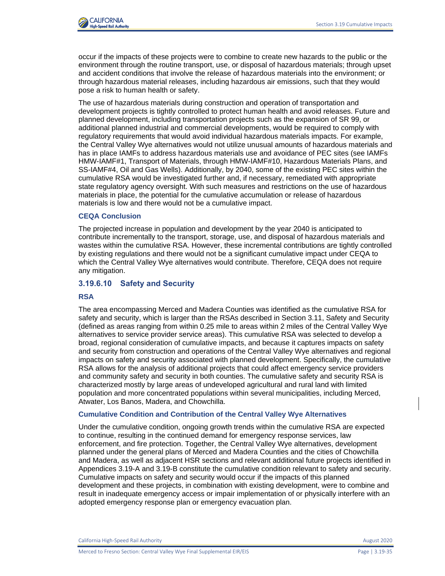

occur if the impacts of these projects were to combine to create new hazards to the public or the environment through the routine transport, use, or disposal of hazardous materials; through upset and accident conditions that involve the release of hazardous materials into the environment; or through hazardous material releases, including hazardous air emissions, such that they would pose a risk to human health or safety.

The use of hazardous materials during construction and operation of transportation and development projects is tightly controlled to protect human health and avoid releases. Future and planned development, including transportation projects such as the expansion of SR 99, or additional planned industrial and commercial developments, would be required to comply with regulatory requirements that would avoid individual hazardous materials impacts. For example, the Central Valley Wye alternatives would not utilize unusual amounts of hazardous materials and has in place IAMFs to address hazardous materials use and avoidance of PEC sites (see IAMFs HMW-IAMF#1, Transport of Materials, through HMW-IAMF#10, Hazardous Materials Plans, and SS-IAMF#4, Oil and Gas Wells). Additionally, by 2040, some of the existing PEC sites within the cumulative RSA would be investigated further and, if necessary, remediated with appropriate state regulatory agency oversight. With such measures and restrictions on the use of hazardous materials in place, the potential for the cumulative accumulation or release of hazardous materials is low and there would not be a cumulative impact.

### **CEQA Conclusion**

The projected increase in population and development by the year 2040 is anticipated to contribute incrementally to the transport, storage, use, and disposal of hazardous materials and wastes within the cumulative RSA. However, these incremental contributions are tightly controlled by existing regulations and there would not be a significant cumulative impact under CEQA to which the Central Valley Wye alternatives would contribute. Therefore, CEQA does not require any mitigation.

## **3.19.6.10 Safety and Security**

### **RSA**

The area encompassing Merced and Madera Counties was identified as the cumulative RSA for safety and security, which is larger than the RSAs described in Section 3.11, Safety and Security (defined as areas ranging from within 0.25 mile to areas within 2 miles of the Central Valley Wye alternatives to service provider service areas). This cumulative RSA was selected to develop a broad, regional consideration of cumulative impacts, and because it captures impacts on safety and security from construction and operations of the Central Valley Wye alternatives and regional impacts on safety and security associated with planned development. Specifically, the cumulative RSA allows for the analysis of additional projects that could affect emergency service providers and community safety and security in both counties. The cumulative safety and security RSA is characterized mostly by large areas of undeveloped agricultural and rural land with limited population and more concentrated populations within several municipalities, including Merced, Atwater, Los Banos, Madera, and Chowchilla.

#### **Cumulative Condition and Contribution of the Central Valley Wye Alternatives**

Under the cumulative condition, ongoing growth trends within the cumulative RSA are expected to continue, resulting in the continued demand for emergency response services, law enforcement, and fire protection. Together, the Central Valley Wye alternatives, development planned under the general plans of Merced and Madera Counties and the cities of Chowchilla and Madera, as well as adjacent HSR sections and relevant additional future projects identified in Appendices 3.19-A and 3.19-B constitute the cumulative condition relevant to safety and security. Cumulative impacts on safety and security would occur if the impacts of this planned development and these projects, in combination with existing development, were to combine and result in inadequate emergency access or impair implementation of or physically interfere with an adopted emergency response plan or emergency evacuation plan.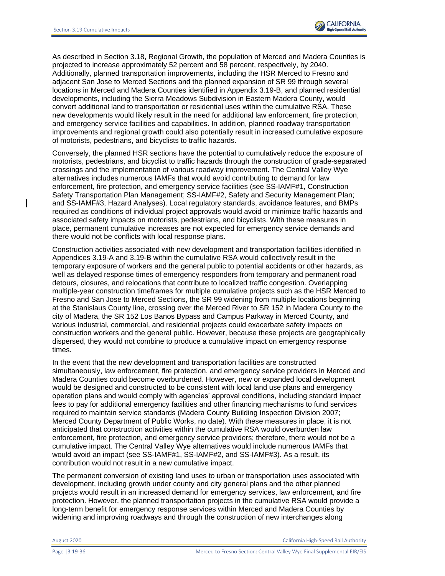As described in Section 3.18, Regional Growth, the population of Merced and Madera Counties is projected to increase approximately 52 percent and 58 percent, respectively, by 2040. Additionally, planned transportation improvements, including the HSR Merced to Fresno and adjacent San Jose to Merced Sections and the planned expansion of SR 99 through several locations in Merced and Madera Counties identified in Appendix 3.19-B, and planned residential developments, including the Sierra Meadows Subdivision in Eastern Madera County, would convert additional land to transportation or residential uses within the cumulative RSA. These new developments would likely result in the need for additional law enforcement, fire protection, and emergency service facilities and capabilities. In addition, planned roadway transportation improvements and regional growth could also potentially result in increased cumulative exposure of motorists, pedestrians, and bicyclists to traffic hazards.

Conversely, the planned HSR sections have the potential to cumulatively reduce the exposure of motorists, pedestrians, and bicyclist to traffic hazards through the construction of grade-separated crossings and the implementation of various roadway improvement. The Central Valley Wye alternatives includes numerous IAMFs that would avoid contributing to demand for law enforcement, fire protection, and emergency service facilities (see SS-IAMF#1, Construction Safety Transportation Plan Management; SS-IAMF#2, Safety and Security Management Plan; and SS-IAMF#3, Hazard Analyses). Local regulatory standards, avoidance features, and BMPs required as conditions of individual project approvals would avoid or minimize traffic hazards and associated safety impacts on motorists, pedestrians, and bicyclists. With these measures in place, permanent cumulative increases are not expected for emergency service demands and there would not be conflicts with local response plans.

Construction activities associated with new development and transportation facilities identified in Appendices 3.19-A and 3.19-B within the cumulative RSA would collectively result in the temporary exposure of workers and the general public to potential accidents or other hazards, as well as delayed response times of emergency responders from temporary and permanent road detours, closures, and relocations that contribute to localized traffic congestion. Overlapping multiple-year construction timeframes for multiple cumulative projects such as the HSR Merced to Fresno and San Jose to Merced Sections, the SR 99 widening from multiple locations beginning at the Stanislaus County line, crossing over the Merced River to SR 152 in Madera County to the city of Madera, the SR 152 Los Banos Bypass and Campus Parkway in Merced County, and various industrial, commercial, and residential projects could exacerbate safety impacts on construction workers and the general public. However, because these projects are geographically dispersed, they would not combine to produce a cumulative impact on emergency response times.

In the event that the new development and transportation facilities are constructed simultaneously, law enforcement, fire protection, and emergency service providers in Merced and Madera Counties could become overburdened. However, new or expanded local development would be designed and constructed to be consistent with local land use plans and emergency operation plans and would comply with agencies' approval conditions, including standard impact fees to pay for additional emergency facilities and other financing mechanisms to fund services required to maintain service standards (Madera County Building Inspection Division 2007; Merced County Department of Public Works, no date). With these measures in place, it is not anticipated that construction activities within the cumulative RSA would overburden law enforcement, fire protection, and emergency service providers; therefore, there would not be a cumulative impact. The Central Valley Wye alternatives would include numerous IAMFs that would avoid an impact (see SS-IAMF#1, SS-IAMF#2, and SS-IAMF#3). As a result, its contribution would not result in a new cumulative impact.

The permanent conversion of existing land uses to urban or transportation uses associated with development, including growth under county and city general plans and the other planned projects would result in an increased demand for emergency services, law enforcement, and fire protection. However, the planned transportation projects in the cumulative RSA would provide a long-term benefit for emergency response services within Merced and Madera Counties by widening and improving roadways and through the construction of new interchanges along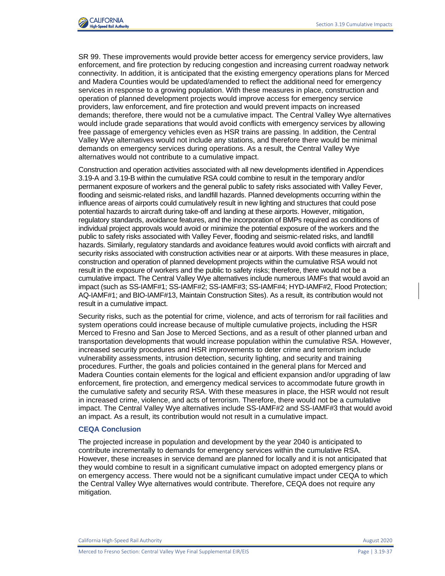

SR 99. These improvements would provide better access for emergency service providers, law enforcement, and fire protection by reducing congestion and increasing current roadway network connectivity. In addition, it is anticipated that the existing emergency operations plans for Merced and Madera Counties would be updated/amended to reflect the additional need for emergency services in response to a growing population. With these measures in place, construction and operation of planned development projects would improve access for emergency service providers, law enforcement, and fire protection and would prevent impacts on increased demands; therefore, there would not be a cumulative impact. The Central Valley Wye alternatives would include grade separations that would avoid conflicts with emergency services by allowing free passage of emergency vehicles even as HSR trains are passing. In addition, the Central Valley Wye alternatives would not include any stations, and therefore there would be minimal demands on emergency services during operations. As a result, the Central Valley Wye alternatives would not contribute to a cumulative impact.

Construction and operation activities associated with all new developments identified in Appendices 3.19-A and 3.19-B within the cumulative RSA could combine to result in the temporary and/or permanent exposure of workers and the general public to safety risks associated with Valley Fever, flooding and seismic-related risks, and landfill hazards. Planned developments occurring within the influence areas of airports could cumulatively result in new lighting and structures that could pose potential hazards to aircraft during take-off and landing at these airports. However, mitigation, regulatory standards, avoidance features, and the incorporation of BMPs required as conditions of individual project approvals would avoid or minimize the potential exposure of the workers and the public to safety risks associated with Valley Fever, flooding and seismic-related risks, and landfill hazards. Similarly, regulatory standards and avoidance features would avoid conflicts with aircraft and security risks associated with construction activities near or at airports. With these measures in place, construction and operation of planned development projects within the cumulative RSA would not result in the exposure of workers and the public to safety risks; therefore, there would not be a cumulative impact. The Central Valley Wye alternatives include numerous IAMFs that would avoid an impact (such as SS-IAMF#1; SS-IAMF#2; SS-IAMF#3; SS-IAMF#4; HYD-IAMF#2, Flood Protection; AQ-IAMF#1; and BIO-IAMF#13, Maintain Construction Sites). As a result, its contribution would not result in a cumulative impact.

Security risks, such as the potential for crime, violence, and acts of terrorism for rail facilities and system operations could increase because of multiple cumulative projects, including the HSR Merced to Fresno and San Jose to Merced Sections, and as a result of other planned urban and transportation developments that would increase population within the cumulative RSA. However, increased security procedures and HSR improvements to deter crime and terrorism include vulnerability assessments, intrusion detection, security lighting, and security and training procedures. Further, the goals and policies contained in the general plans for Merced and Madera Counties contain elements for the logical and efficient expansion and/or upgrading of law enforcement, fire protection, and emergency medical services to accommodate future growth in the cumulative safety and security RSA. With these measures in place, the HSR would not result in increased crime, violence, and acts of terrorism. Therefore, there would not be a cumulative impact. The Central Valley Wye alternatives include SS-IAMF#2 and SS-IAMF#3 that would avoid an impact. As a result, its contribution would not result in a cumulative impact.

#### **CEQA Conclusion**

The projected increase in population and development by the year 2040 is anticipated to contribute incrementally to demands for emergency services within the cumulative RSA. However, these increases in service demand are planned for locally and it is not anticipated that they would combine to result in a significant cumulative impact on adopted emergency plans or on emergency access. There would not be a significant cumulative impact under CEQA to which the Central Valley Wye alternatives would contribute. Therefore, CEQA does not require any mitigation.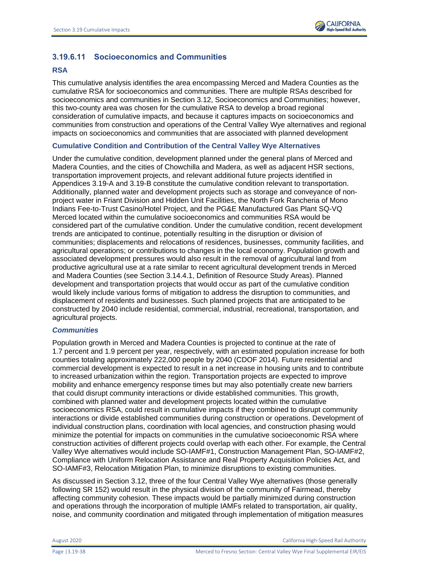

# **3.19.6.11 Socioeconomics and Communities**

## **RSA**

This cumulative analysis identifies the area encompassing Merced and Madera Counties as the cumulative RSA for socioeconomics and communities. There are multiple RSAs described for socioeconomics and communities in Section 3.12, Socioeconomics and Communities; however, this two-county area was chosen for the cumulative RSA to develop a broad regional consideration of cumulative impacts, and because it captures impacts on socioeconomics and communities from construction and operations of the Central Valley Wye alternatives and regional impacts on socioeconomics and communities that are associated with planned development

## **Cumulative Condition and Contribution of the Central Valley Wye Alternatives**

Under the cumulative condition, development planned under the general plans of Merced and Madera Counties, and the cities of Chowchilla and Madera, as well as adjacent HSR sections, transportation improvement projects, and relevant additional future projects identified in Appendices 3.19-A and 3.19-B constitute the cumulative condition relevant to transportation. Additionally, planned water and development projects such as storage and conveyance of nonproject water in Friant Division and Hidden Unit Facilities, the North Fork Rancheria of Mono Indians Fee-to-Trust Casino/Hotel Project, and the PG&E Manufactured Gas Plant SQ-VQ Merced located within the cumulative socioeconomics and communities RSA would be considered part of the cumulative condition. Under the cumulative condition, recent development trends are anticipated to continue, potentially resulting in the disruption or division of communities; displacements and relocations of residences, businesses, community facilities, and agricultural operations; or contributions to changes in the local economy. Population growth and associated development pressures would also result in the removal of agricultural land from productive agricultural use at a rate similar to recent agricultural development trends in Merced and Madera Counties (see Section 3.14.4.1, Definition of Resource Study Areas). Planned development and transportation projects that would occur as part of the cumulative condition would likely include various forms of mitigation to address the disruption to communities, and displacement of residents and businesses. Such planned projects that are anticipated to be constructed by 2040 include residential, commercial, industrial, recreational, transportation, and agricultural projects.

## *Communities*

Population growth in Merced and Madera Counties is projected to continue at the rate of 1.7 percent and 1.9 percent per year, respectively, with an estimated population increase for both counties totaling approximately 222,000 people by 2040 (CDOF 2014). Future residential and commercial development is expected to result in a net increase in housing units and to contribute to increased urbanization within the region. Transportation projects are expected to improve mobility and enhance emergency response times but may also potentially create new barriers that could disrupt community interactions or divide established communities. This growth, combined with planned water and development projects located within the cumulative socioeconomics RSA, could result in cumulative impacts if they combined to disrupt community interactions or divide established communities during construction or operations. Development of individual construction plans, coordination with local agencies, and construction phasing would minimize the potential for impacts on communities in the cumulative socioeconomic RSA where construction activities of different projects could overlap with each other. For example, the Central Valley Wye alternatives would include SO-IAMF#1, Construction Management Plan, SO-IAMF#2, Compliance with Uniform Relocation Assistance and Real Property Acquisition Policies Act, and SO-IAMF#3, Relocation Mitigation Plan, to minimize disruptions to existing communities.

As discussed in Section 3.12, three of the four Central Valley Wye alternatives (those generally following SR 152) would result in the physical division of the community of Fairmead, thereby affecting community cohesion. These impacts would be partially minimized during construction and operations through the incorporation of multiple IAMFs related to transportation, air quality, noise, and community coordination and mitigated through implementation of mitigation measures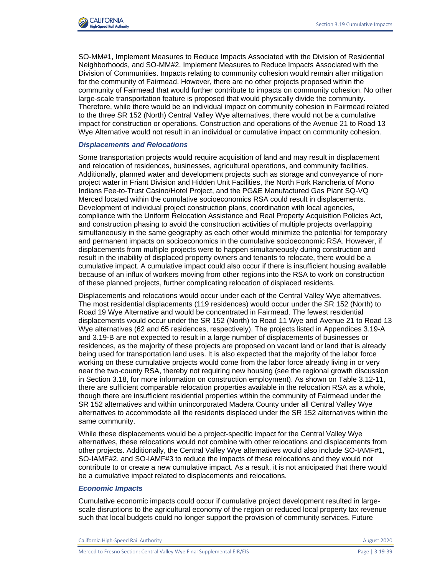

SO-MM#1, Implement Measures to Reduce Impacts Associated with the Division of Residential Neighborhoods, and SO-MM#2, Implement Measures to Reduce Impacts Associated with the Division of Communities. Impacts relating to community cohesion would remain after mitigation for the community of Fairmead. However, there are no other projects proposed within the community of Fairmead that would further contribute to impacts on community cohesion. No other large-scale transportation feature is proposed that would physically divide the community. Therefore, while there would be an individual impact on community cohesion in Fairmead related to the three SR 152 (North) Central Valley Wye alternatives, there would not be a cumulative impact for construction or operations. Construction and operations of the Avenue 21 to Road 13 Wye Alternative would not result in an individual or cumulative impact on community cohesion.

#### *Displacements and Relocations*

Some transportation projects would require acquisition of land and may result in displacement and relocation of residences, businesses, agricultural operations, and community facilities. Additionally, planned water and development projects such as storage and conveyance of nonproject water in Friant Division and Hidden Unit Facilities, the North Fork Rancheria of Mono Indians Fee-to-Trust Casino/Hotel Project, and the PG&E Manufactured Gas Plant SQ-VQ Merced located within the cumulative socioeconomics RSA could result in displacements. Development of individual project construction plans, coordination with local agencies, compliance with the Uniform Relocation Assistance and Real Property Acquisition Policies Act, and construction phasing to avoid the construction activities of multiple projects overlapping simultaneously in the same geography as each other would minimize the potential for temporary and permanent impacts on socioeconomics in the cumulative socioeconomic RSA. However, if displacements from multiple projects were to happen simultaneously during construction and result in the inability of displaced property owners and tenants to relocate, there would be a cumulative impact. A cumulative impact could also occur if there is insufficient housing available because of an influx of workers moving from other regions into the RSA to work on construction of these planned projects, further complicating relocation of displaced residents.

Displacements and relocations would occur under each of the Central Valley Wye alternatives. The most residential displacements (119 residences) would occur under the SR 152 (North) to Road 19 Wye Alternative and would be concentrated in Fairmead. The fewest residential displacements would occur under the SR 152 (North) to Road 11 Wye and Avenue 21 to Road 13 Wye alternatives (62 and 65 residences, respectively). The projects listed in Appendices 3.19-A and 3.19-B are not expected to result in a large number of displacements of businesses or residences, as the majority of these projects are proposed on vacant land or land that is already being used for transportation land uses. It is also expected that the majority of the labor force working on these cumulative projects would come from the labor force already living in or very near the two-county RSA, thereby not requiring new housing (see the regional growth discussion in Section 3.18, for more information on construction employment). As shown on Table 3.12-11, there are sufficient comparable relocation properties available in the relocation RSA as a whole, though there are insufficient residential properties within the community of Fairmead under the SR 152 alternatives and within unincorporated Madera County under all Central Valley Wye alternatives to accommodate all the residents displaced under the SR 152 alternatives within the same community.

While these displacements would be a project-specific impact for the Central Valley Wye alternatives, these relocations would not combine with other relocations and displacements from other projects. Additionally, the Central Valley Wye alternatives would also include SO-IAMF#1, SO-IAMF#2, and SO-IAMF#3 to reduce the impacts of these relocations and they would not contribute to or create a new cumulative impact. As a result, it is not anticipated that there would be a cumulative impact related to displacements and relocations.

## *Economic Impacts*

Cumulative economic impacts could occur if cumulative project development resulted in largescale disruptions to the agricultural economy of the region or reduced local property tax revenue such that local budgets could no longer support the provision of community services. Future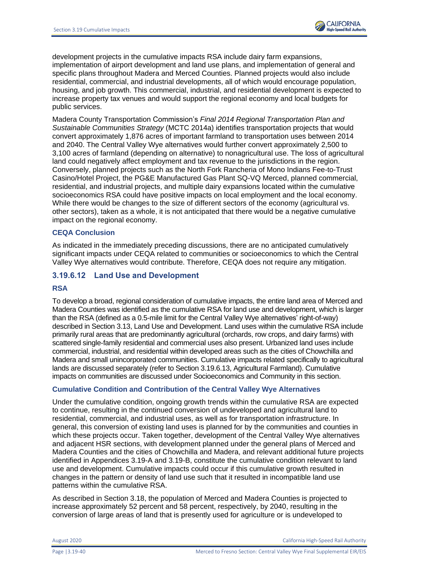development projects in the cumulative impacts RSA include dairy farm expansions, implementation of airport development and land use plans, and implementation of general and specific plans throughout Madera and Merced Counties. Planned projects would also include residential, commercial, and industrial developments, all of which would encourage population, housing, and job growth. This commercial, industrial, and residential development is expected to increase property tax venues and would support the regional economy and local budgets for public services.

Madera County Transportation Commission's *Final 2014 Regional Transportation Plan and Sustainable Communities Strategy* (MCTC 2014a) identifies transportation projects that would convert approximately 1,876 acres of important farmland to transportation uses between 2014 and 2040. The Central Valley Wye alternatives would further convert approximately 2,500 to 3,100 acres of farmland (depending on alternative) to nonagricultural use. The loss of agricultural land could negatively affect employment and tax revenue to the jurisdictions in the region. Conversely, planned projects such as the North Fork Rancheria of Mono Indians Fee-to-Trust Casino/Hotel Project, the PG&E Manufactured Gas Plant SQ-VQ Merced, planned commercial, residential, and industrial projects, and multiple dairy expansions located within the cumulative socioeconomics RSA could have positive impacts on local employment and the local economy. While there would be changes to the size of different sectors of the economy (agricultural vs. other sectors), taken as a whole, it is not anticipated that there would be a negative cumulative impact on the regional economy.

## **CEQA Conclusion**

As indicated in the immediately preceding discussions, there are no anticipated cumulatively significant impacts under CEQA related to communities or socioeconomics to which the Central Valley Wye alternatives would contribute. Therefore, CEQA does not require any mitigation.

# **3.19.6.12 Land Use and Development**

## **RSA**

To develop a broad, regional consideration of cumulative impacts, the entire land area of Merced and Madera Counties was identified as the cumulative RSA for land use and development, which is larger than the RSA (defined as a 0.5-mile limit for the Central Valley Wye alternatives' right-of-way) described in Section 3.13, Land Use and Development. Land uses within the cumulative RSA include primarily rural areas that are predominantly agricultural (orchards, row crops, and dairy farms) with scattered single-family residential and commercial uses also present. Urbanized land uses include commercial, industrial, and residential within developed areas such as the cities of Chowchilla and Madera and small unincorporated communities. Cumulative impacts related specifically to agricultural lands are discussed separately (refer to Section 3.19.6.13, Agricultural Farmland). Cumulative impacts on communities are discussed under Socioeconomics and Community in this section.

## **Cumulative Condition and Contribution of the Central Valley Wye Alternatives**

Under the cumulative condition, ongoing growth trends within the cumulative RSA are expected to continue, resulting in the continued conversion of undeveloped and agricultural land to residential, commercial, and industrial uses, as well as for transportation infrastructure. In general, this conversion of existing land uses is planned for by the communities and counties in which these projects occur. Taken together, development of the Central Valley Wye alternatives and adjacent HSR sections, with development planned under the general plans of Merced and Madera Counties and the cities of Chowchilla and Madera, and relevant additional future projects identified in Appendices 3.19-A and 3.19-B, constitute the cumulative condition relevant to land use and development. Cumulative impacts could occur if this cumulative growth resulted in changes in the pattern or density of land use such that it resulted in incompatible land use patterns within the cumulative RSA.

As described in Section 3.18, the population of Merced and Madera Counties is projected to increase approximately 52 percent and 58 percent, respectively, by 2040, resulting in the conversion of large areas of land that is presently used for agriculture or is undeveloped to

August 2020 California High-Speed Rail Authority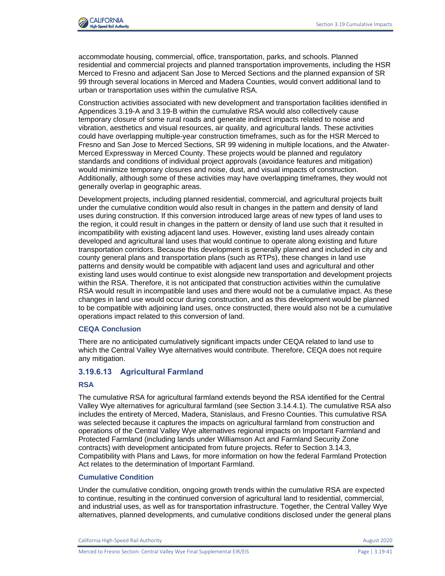

accommodate housing, commercial, office, transportation, parks, and schools. Planned residential and commercial projects and planned transportation improvements, including the HSR Merced to Fresno and adjacent San Jose to Merced Sections and the planned expansion of SR 99 through several locations in Merced and Madera Counties, would convert additional land to urban or transportation uses within the cumulative RSA.

Construction activities associated with new development and transportation facilities identified in Appendices 3.19-A and 3.19-B within the cumulative RSA would also collectively cause temporary closure of some rural roads and generate indirect impacts related to noise and vibration, aesthetics and visual resources, air quality, and agricultural lands. These activities could have overlapping multiple-year construction timeframes, such as for the HSR Merced to Fresno and San Jose to Merced Sections, SR 99 widening in multiple locations, and the Atwater-Merced Expressway in Merced County. These projects would be planned and regulatory standards and conditions of individual project approvals (avoidance features and mitigation) would minimize temporary closures and noise, dust, and visual impacts of construction. Additionally, although some of these activities may have overlapping timeframes, they would not generally overlap in geographic areas.

Development projects, including planned residential, commercial, and agricultural projects built under the cumulative condition would also result in changes in the pattern and density of land uses during construction. If this conversion introduced large areas of new types of land uses to the region, it could result in changes in the pattern or density of land use such that it resulted in incompatibility with existing adjacent land uses. However, existing land uses already contain developed and agricultural land uses that would continue to operate along existing and future transportation corridors. Because this development is generally planned and included in city and county general plans and transportation plans (such as RTPs), these changes in land use patterns and density would be compatible with adjacent land uses and agricultural and other existing land uses would continue to exist alongside new transportation and development projects within the RSA. Therefore, it is not anticipated that construction activities within the cumulative RSA would result in incompatible land uses and there would not be a cumulative impact. As these changes in land use would occur during construction, and as this development would be planned to be compatible with adjoining land uses, once constructed, there would also not be a cumulative operations impact related to this conversion of land.

#### **CEQA Conclusion**

There are no anticipated cumulatively significant impacts under CEQA related to land use to which the Central Valley Wye alternatives would contribute. Therefore, CEQA does not require any mitigation.

## **3.19.6.13 Agricultural Farmland**

## **RSA**

The cumulative RSA for agricultural farmland extends beyond the RSA identified for the Central Valley Wye alternatives for agricultural farmland (see Section 3.14.4.1). The cumulative RSA also includes the entirety of Merced, Madera, Stanislaus, and Fresno Counties. This cumulative RSA was selected because it captures the impacts on agricultural farmland from construction and operations of the Central Valley Wye alternatives regional impacts on Important Farmland and Protected Farmland (including lands under Williamson Act and Farmland Security Zone contracts) with development anticipated from future projects. Refer to Section 3.14.3, Compatibility with Plans and Laws, for more information on how the federal Farmland Protection Act relates to the determination of Important Farmland.

### **Cumulative Condition**

Under the cumulative condition, ongoing growth trends within the cumulative RSA are expected to continue, resulting in the continued conversion of agricultural land to residential, commercial, and industrial uses, as well as for transportation infrastructure. Together, the Central Valley Wye alternatives, planned developments, and cumulative conditions disclosed under the general plans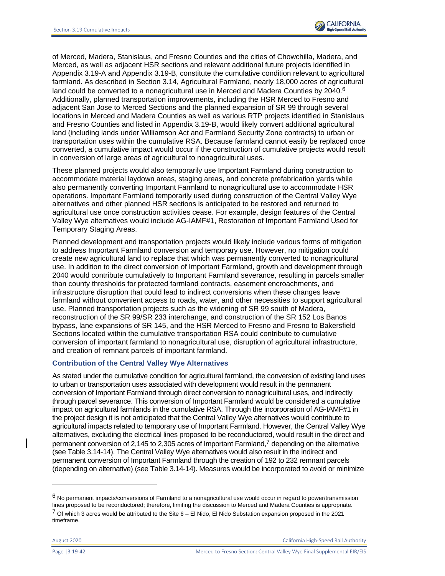

of Merced, Madera, Stanislaus, and Fresno Counties and the cities of Chowchilla, Madera, and Merced, as well as adjacent HSR sections and relevant additional future projects identified in Appendix 3.19-A and Appendix 3.19-B, constitute the cumulative condition relevant to agricultural farmland. As described in Section 3.14, Agricultural Farmland, nearly 18,000 acres of agricultural land could be converted to a nonagricultural use in Merced and Madera Counties by 2040.<sup>6</sup> Additionally, planned transportation improvements, including the HSR Merced to Fresno and adjacent San Jose to Merced Sections and the planned expansion of SR 99 through several locations in Merced and Madera Counties as well as various RTP projects identified in Stanislaus and Fresno Counties and listed in Appendix 3.19-B, would likely convert additional agricultural land (including lands under Williamson Act and Farmland Security Zone contracts) to urban or transportation uses within the cumulative RSA. Because farmland cannot easily be replaced once converted, a cumulative impact would occur if the construction of cumulative projects would result in conversion of large areas of agricultural to nonagricultural uses.

These planned projects would also temporarily use Important Farmland during construction to accommodate material laydown areas, staging areas, and concrete prefabrication yards while also permanently converting Important Farmland to nonagricultural use to accommodate HSR operations. Important Farmland temporarily used during construction of the Central Valley Wye alternatives and other planned HSR sections is anticipated to be restored and returned to agricultural use once construction activities cease. For example, design features of the Central Valley Wye alternatives would include AG-IAMF#1, Restoration of Important Farmland Used for Temporary Staging Areas.

Planned development and transportation projects would likely include various forms of mitigation to address Important Farmland conversion and temporary use. However, no mitigation could create new agricultural land to replace that which was permanently converted to nonagricultural use. In addition to the direct conversion of Important Farmland, growth and development through 2040 would contribute cumulatively to Important Farmland severance, resulting in parcels smaller than county thresholds for protected farmland contracts, easement encroachments, and infrastructure disruption that could lead to indirect conversions when these changes leave farmland without convenient access to roads, water, and other necessities to support agricultural use. Planned transportation projects such as the widening of SR 99 south of Madera, reconstruction of the SR 99/SR 233 interchange, and construction of the SR 152 Los Banos bypass, lane expansions of SR 145, and the HSR Merced to Fresno and Fresno to Bakersfield Sections located within the cumulative transportation RSA could contribute to cumulative conversion of important farmland to nonagricultural use, disruption of agricultural infrastructure, and creation of remnant parcels of important farmland.

## **Contribution of the Central Valley Wye Alternatives**

As stated under the cumulative condition for agricultural farmland, the conversion of existing land uses to urban or transportation uses associated with development would result in the permanent conversion of Important Farmland through direct conversion to nonagricultural uses, and indirectly through parcel severance. This conversion of Important Farmland would be considered a cumulative impact on agricultural farmlands in the cumulative RSA. Through the incorporation of AG-IAMF#1 in the project design it is not anticipated that the Central Valley Wye alternatives would contribute to agricultural impacts related to temporary use of Important Farmland. However, the Central Valley Wye alternatives, excluding the electrical lines proposed to be reconductored, would result in the direct and permanent conversion of 2,145 to 2,305 acres of Important Farmland,<sup>7</sup> depending on the alternative (see Table 3.14-14). The Central Valley Wye alternatives would also result in the indirect and permanent conversion of Important Farmland through the creation of 192 to 232 remnant parcels (depending on alternative) (see Table 3.14-14). Measures would be incorporated to avoid or minimize

August 2020 California High-Speed Rail Authority

 $6$  No permanent impacts/conversions of Farmland to a nonagricultural use would occur in regard to power/transmission lines proposed to be reconductored; therefore, limiting the discussion to Merced and Madera Counties is appropriate.

 $7$  Of which 3 acres would be attributed to the Site 6 – El Nido, El Nido Substation expansion proposed in the 2021 timeframe.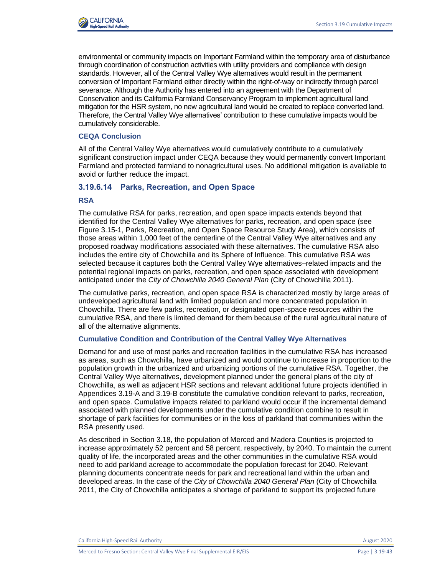environmental or community impacts on Important Farmland within the temporary area of disturbance through coordination of construction activities with utility providers and compliance with design standards. However, all of the Central Valley Wye alternatives would result in the permanent conversion of Important Farmland either directly within the right-of-way or indirectly through parcel severance. Although the Authority has entered into an agreement with the Department of Conservation and its California Farmland Conservancy Program to implement agricultural land mitigation for the HSR system, no new agricultural land would be created to replace converted land. Therefore, the Central Valley Wye alternatives' contribution to these cumulative impacts would be cumulatively considerable.

## **CEQA Conclusion**

All of the Central Valley Wye alternatives would cumulatively contribute to a cumulatively significant construction impact under CEQA because they would permanently convert Important Farmland and protected farmland to nonagricultural uses. No additional mitigation is available to avoid or further reduce the impact.

## **3.19.6.14 Parks, Recreation, and Open Space**

## **RSA**

The cumulative RSA for parks, recreation, and open space impacts extends beyond that identified for the Central Valley Wye alternatives for parks, recreation, and open space (see Figure 3.15-1, Parks, Recreation, and Open Space Resource Study Area), which consists of those areas within 1,000 feet of the centerline of the Central Valley Wye alternatives and any proposed roadway modifications associated with these alternatives. The cumulative RSA also includes the entire city of Chowchilla and its Sphere of Influence. This cumulative RSA was selected because it captures both the Central Valley Wye alternatives–related impacts and the potential regional impacts on parks, recreation, and open space associated with development anticipated under the *City of Chowchilla 2040 General Plan* (City of Chowchilla 2011).

The cumulative parks, recreation, and open space RSA is characterized mostly by large areas of undeveloped agricultural land with limited population and more concentrated population in Chowchilla. There are few parks, recreation, or designated open-space resources within the cumulative RSA, and there is limited demand for them because of the rural agricultural nature of all of the alternative alignments.

## **Cumulative Condition and Contribution of the Central Valley Wye Alternatives**

Demand for and use of most parks and recreation facilities in the cumulative RSA has increased as areas, such as Chowchilla, have urbanized and would continue to increase in proportion to the population growth in the urbanized and urbanizing portions of the cumulative RSA. Together, the Central Valley Wye alternatives, development planned under the general plans of the city of Chowchilla, as well as adjacent HSR sections and relevant additional future projects identified in Appendices 3.19-A and 3.19-B constitute the cumulative condition relevant to parks, recreation, and open space. Cumulative impacts related to parkland would occur if the incremental demand associated with planned developments under the cumulative condition combine to result in shortage of park facilities for communities or in the loss of parkland that communities within the RSA presently used.

As described in Section 3.18, the population of Merced and Madera Counties is projected to increase approximately 52 percent and 58 percent, respectively, by 2040. To maintain the current quality of life, the incorporated areas and the other communities in the cumulative RSA would need to add parkland acreage to accommodate the population forecast for 2040. Relevant planning documents concentrate needs for park and recreational land within the urban and developed areas. In the case of the *City of Chowchilla 2040 General Plan* (City of Chowchilla 2011, the City of Chowchilla anticipates a shortage of parkland to support its projected future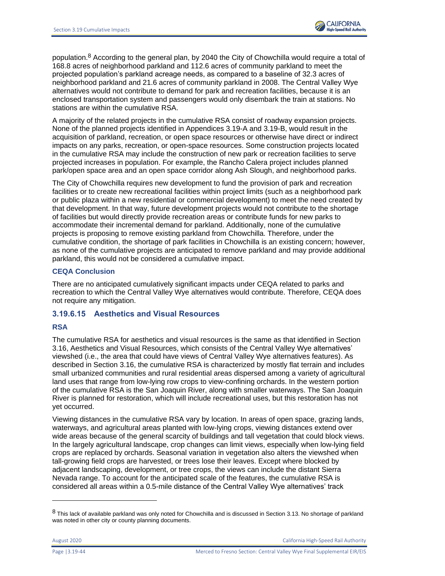population.8 According to the general plan, by 2040 the City of Chowchilla would require a total of 168.8 acres of neighborhood parkland and 112.6 acres of community parkland to meet the projected population's parkland acreage needs, as compared to a baseline of 32.3 acres of neighborhood parkland and 21.6 acres of community parkland in 2008. The Central Valley Wye alternatives would not contribute to demand for park and recreation facilities, because it is an enclosed transportation system and passengers would only disembark the train at stations. No stations are within the cumulative RSA.

A majority of the related projects in the cumulative RSA consist of roadway expansion projects. None of the planned projects identified in Appendices 3.19-A and 3.19-B, would result in the acquisition of parkland, recreation, or open space resources or otherwise have direct or indirect impacts on any parks, recreation, or open-space resources. Some construction projects located in the cumulative RSA may include the construction of new park or recreation facilities to serve projected increases in population. For example, the Rancho Calera project includes planned park/open space area and an open space corridor along Ash Slough, and neighborhood parks.

The City of Chowchilla requires new development to fund the provision of park and recreation facilities or to create new recreational facilities within project limits (such as a neighborhood park or public plaza within a new residential or commercial development) to meet the need created by that development. In that way, future development projects would not contribute to the shortage of facilities but would directly provide recreation areas or contribute funds for new parks to accommodate their incremental demand for parkland. Additionally, none of the cumulative projects is proposing to remove existing parkland from Chowchilla. Therefore, under the cumulative condition, the shortage of park facilities in Chowchilla is an existing concern; however, as none of the cumulative projects are anticipated to remove parkland and may provide additional parkland, this would not be considered a cumulative impact.

## **CEQA Conclusion**

There are no anticipated cumulatively significant impacts under CEQA related to parks and recreation to which the Central Valley Wye alternatives would contribute. Therefore, CEQA does not require any mitigation.

## **3.19.6.15 Aesthetics and Visual Resources**

## **RSA**

The cumulative RSA for aesthetics and visual resources is the same as that identified in Section 3.16, Aesthetics and Visual Resources, which consists of the Central Valley Wye alternatives' viewshed (i.e., the area that could have views of Central Valley Wye alternatives features). As described in Section 3.16, the cumulative RSA is characterized by mostly flat terrain and includes small urbanized communities and rural residential areas dispersed among a variety of agricultural land uses that range from low-lying row crops to view-confining orchards. In the western portion of the cumulative RSA is the San Joaquin River, along with smaller waterways. The San Joaquin River is planned for restoration, which will include recreational uses, but this restoration has not yet occurred.

Viewing distances in the cumulative RSA vary by location. In areas of open space, grazing lands, waterways, and agricultural areas planted with low-lying crops, viewing distances extend over wide areas because of the general scarcity of buildings and tall vegetation that could block views. In the largely agricultural landscape, crop changes can limit views, especially when low-lying field crops are replaced by orchards. Seasonal variation in vegetation also alters the viewshed when tall-growing field crops are harvested, or trees lose their leaves. Except where blocked by adjacent landscaping, development, or tree crops, the views can include the distant Sierra Nevada range. To account for the anticipated scale of the features, the cumulative RSA is considered all areas within a 0.5-mile distance of the Central Valley Wye alternatives' track

August 2020 California High-Speed Rail Authority

<sup>8</sup> This lack of available parkland was only noted for Chowchilla and is discussed in Section 3.13. No shortage of parkland was noted in other city or county planning documents.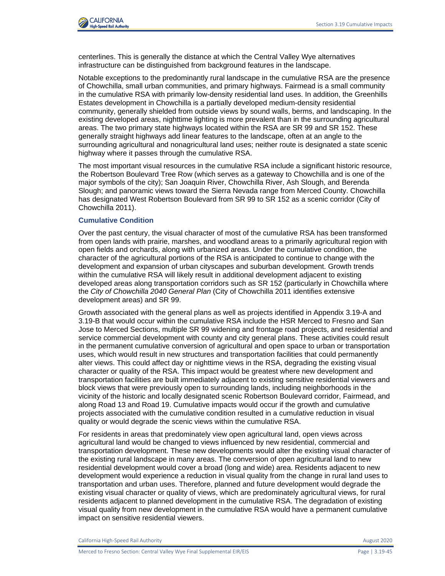

centerlines. This is generally the distance at which the Central Valley Wye alternatives infrastructure can be distinguished from background features in the landscape.

Notable exceptions to the predominantly rural landscape in the cumulative RSA are the presence of Chowchilla, small urban communities, and primary highways. Fairmead is a small community in the cumulative RSA with primarily low-density residential land uses. In addition, the Greenhills Estates development in Chowchilla is a partially developed medium-density residential community, generally shielded from outside views by sound walls, berms, and landscaping. In the existing developed areas, nighttime lighting is more prevalent than in the surrounding agricultural areas. The two primary state highways located within the RSA are SR 99 and SR 152. These generally straight highways add linear features to the landscape, often at an angle to the surrounding agricultural and nonagricultural land uses; neither route is designated a state scenic highway where it passes through the cumulative RSA.

The most important visual resources in the cumulative RSA include a significant historic resource, the Robertson Boulevard Tree Row (which serves as a gateway to Chowchilla and is one of the major symbols of the city); San Joaquin River, Chowchilla River, Ash Slough, and Berenda Slough; and panoramic views toward the Sierra Nevada range from Merced County. Chowchilla has designated West Robertson Boulevard from SR 99 to SR 152 as a scenic corridor (City of Chowchilla 2011).

## **Cumulative Condition**

Over the past century, the visual character of most of the cumulative RSA has been transformed from open lands with prairie, marshes, and woodland areas to a primarily agricultural region with open fields and orchards, along with urbanized areas. Under the cumulative condition, the character of the agricultural portions of the RSA is anticipated to continue to change with the development and expansion of urban cityscapes and suburban development. Growth trends within the cumulative RSA will likely result in additional development adjacent to existing developed areas along transportation corridors such as SR 152 (particularly in Chowchilla where the *City of Chowchilla 2040 General Plan* (City of Chowchilla 2011 identifies extensive development areas) and SR 99.

Growth associated with the general plans as well as projects identified in Appendix 3.19-A and 3.19-B that would occur within the cumulative RSA include the HSR Merced to Fresno and San Jose to Merced Sections, multiple SR 99 widening and frontage road projects, and residential and service commercial development with county and city general plans. These activities could result in the permanent cumulative conversion of agricultural and open space to urban or transportation uses, which would result in new structures and transportation facilities that could permanently alter views. This could affect day or nighttime views in the RSA, degrading the existing visual character or quality of the RSA. This impact would be greatest where new development and transportation facilities are built immediately adjacent to existing sensitive residential viewers and block views that were previously open to surrounding lands, including neighborhoods in the vicinity of the historic and locally designated scenic Robertson Boulevard corridor, Fairmead, and along Road 13 and Road 19. Cumulative impacts would occur if the growth and cumulative projects associated with the cumulative condition resulted in a cumulative reduction in visual quality or would degrade the scenic views within the cumulative RSA.

For residents in areas that predominately view open agricultural land, open views across agricultural land would be changed to views influenced by new residential, commercial and transportation development. These new developments would alter the existing visual character of the existing rural landscape in many areas. The conversion of open agricultural land to new residential development would cover a broad (long and wide) area. Residents adjacent to new development would experience a reduction in visual quality from the change in rural land uses to transportation and urban uses. Therefore, planned and future development would degrade the existing visual character or quality of views, which are predominately agricultural views, for rural residents adjacent to planned development in the cumulative RSA. The degradation of existing visual quality from new development in the cumulative RSA would have a permanent cumulative impact on sensitive residential viewers.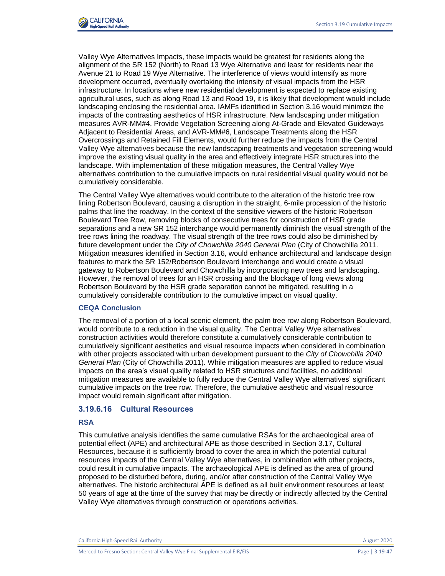

Valley Wye Alternatives Impacts, these impacts would be greatest for residents along the alignment of the SR 152 (North) to Road 13 Wye Alternative and least for residents near the Avenue 21 to Road 19 Wye Alternative. The interference of views would intensify as more development occurred, eventually overtaking the intensity of visual impacts from the HSR infrastructure. In locations where new residential development is expected to replace existing agricultural uses, such as along Road 13 and Road 19, it is likely that development would include landscaping enclosing the residential area. IAMFs identified in Section 3.16 would minimize the impacts of the contrasting aesthetics of HSR infrastructure. New landscaping under mitigation measures AVR-MM#4, Provide Vegetation Screening along At-Grade and Elevated Guideways Adjacent to Residential Areas, and AVR-MM#6, Landscape Treatments along the HSR Overcrossings and Retained Fill Elements, would further reduce the impacts from the Central Valley Wye alternatives because the new landscaping treatments and vegetation screening would improve the existing visual quality in the area and effectively integrate HSR structures into the landscape. With implementation of these mitigation measures, the Central Valley Wye alternatives contribution to the cumulative impacts on rural residential visual quality would not be cumulatively considerable.

The Central Valley Wye alternatives would contribute to the alteration of the historic tree row lining Robertson Boulevard, causing a disruption in the straight, 6-mile procession of the historic palms that line the roadway. In the context of the sensitive viewers of the historic Robertson Boulevard Tree Row, removing blocks of consecutive trees for construction of HSR grade separations and a new SR 152 interchange would permanently diminish the visual strength of the tree rows lining the roadway. The visual strength of the tree rows could also be diminished by future development under the *City of Chowchilla 2040 General Plan* (City of Chowchilla 2011. Mitigation measures identified in Section 3.16, would enhance architectural and landscape design features to mark the SR 152/Robertson Boulevard interchange and would create a visual gateway to Robertson Boulevard and Chowchilla by incorporating new trees and landscaping. However, the removal of trees for an HSR crossing and the blockage of long views along Robertson Boulevard by the HSR grade separation cannot be mitigated, resulting in a cumulatively considerable contribution to the cumulative impact on visual quality.

## **CEQA Conclusion**

The removal of a portion of a local scenic element, the palm tree row along Robertson Boulevard, would contribute to a reduction in the visual quality. The Central Valley Wye alternatives' construction activities would therefore constitute a cumulatively considerable contribution to cumulatively significant aesthetics and visual resource impacts when considered in combination with other projects associated with urban development pursuant to the *City of Chowchilla 2040 General Plan* (City of Chowchilla 2011). While mitigation measures are applied to reduce visual impacts on the area's visual quality related to HSR structures and facilities, no additional mitigation measures are available to fully reduce the Central Valley Wye alternatives' significant cumulative impacts on the tree row. Therefore, the cumulative aesthetic and visual resource impact would remain significant after mitigation.

### **3.19.6.16 Cultural Resources**

#### **RSA**

This cumulative analysis identifies the same cumulative RSAs for the archaeological area of potential effect (APE) and architectural APE as those described in Section 3.17, Cultural Resources, because it is sufficiently broad to cover the area in which the potential cultural resources impacts of the Central Valley Wye alternatives, in combination with other projects, could result in cumulative impacts. The archaeological APE is defined as the area of ground proposed to be disturbed before, during, and/or after construction of the Central Valley Wye alternatives. The historic architectural APE is defined as all built environment resources at least 50 years of age at the time of the survey that may be directly or indirectly affected by the Central Valley Wye alternatives through construction or operations activities.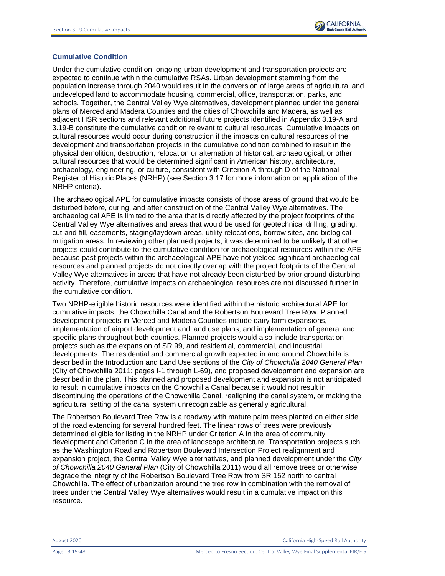

### **Cumulative Condition**

Under the cumulative condition, ongoing urban development and transportation projects are expected to continue within the cumulative RSAs. Urban development stemming from the population increase through 2040 would result in the conversion of large areas of agricultural and undeveloped land to accommodate housing, commercial, office, transportation, parks, and schools. Together, the Central Valley Wye alternatives, development planned under the general plans of Merced and Madera Counties and the cities of Chowchilla and Madera, as well as adjacent HSR sections and relevant additional future projects identified in Appendix 3.19-A and 3.19-B constitute the cumulative condition relevant to cultural resources. Cumulative impacts on cultural resources would occur during construction if the impacts on cultural resources of the development and transportation projects in the cumulative condition combined to result in the physical demolition, destruction, relocation or alternation of historical, archaeological, or other cultural resources that would be determined significant in American history, architecture, archaeology, engineering, or culture, consistent with Criterion A through D of the National Register of Historic Places (NRHP) (see Section 3.17 for more information on application of the NRHP criteria).

The archaeological APE for cumulative impacts consists of those areas of ground that would be disturbed before, during, and after construction of the Central Valley Wye alternatives. The archaeological APE is limited to the area that is directly affected by the project footprints of the Central Valley Wye alternatives and areas that would be used for geotechnical drilling, grading, cut-and-fill, easements, staging/laydown areas, utility relocations, borrow sites, and biological mitigation areas. In reviewing other planned projects, it was determined to be unlikely that other projects could contribute to the cumulative condition for archaeological resources within the APE because past projects within the archaeological APE have not yielded significant archaeological resources and planned projects do not directly overlap with the project footprints of the Central Valley Wye alternatives in areas that have not already been disturbed by prior ground disturbing activity. Therefore, cumulative impacts on archaeological resources are not discussed further in the cumulative condition.

Two NRHP-eligible historic resources were identified within the historic architectural APE for cumulative impacts, the Chowchilla Canal and the Robertson Boulevard Tree Row. Planned development projects in Merced and Madera Counties include dairy farm expansions, implementation of airport development and land use plans, and implementation of general and specific plans throughout both counties. Planned projects would also include transportation projects such as the expansion of SR 99, and residential, commercial, and industrial developments. The residential and commercial growth expected in and around Chowchilla is described in the Introduction and Land Use sections of the *City of Chowchilla 2040 General Plan* (City of Chowchilla 2011; pages I-1 through L-69), and proposed development and expansion are described in the plan. This planned and proposed development and expansion is not anticipated to result in cumulative impacts on the Chowchilla Canal because it would not result in discontinuing the operations of the Chowchilla Canal, realigning the canal system, or making the agricultural setting of the canal system unrecognizable as generally agricultural.

The Robertson Boulevard Tree Row is a roadway with mature palm trees planted on either side of the road extending for several hundred feet. The linear rows of trees were previously determined eligible for listing in the NRHP under Criterion A in the area of community development and Criterion C in the area of landscape architecture. Transportation projects such as the Washington Road and Robertson Boulevard Intersection Project realignment and expansion project, the Central Valley Wye alternatives, and planned development under the *City of Chowchilla 2040 General Plan* (City of Chowchilla 2011) would all remove trees or otherwise degrade the integrity of the Robertson Boulevard Tree Row from SR 152 north to central Chowchilla. The effect of urbanization around the tree row in combination with the removal of trees under the Central Valley Wye alternatives would result in a cumulative impact on this resource.

August 2020 California High-Speed Rail Authority